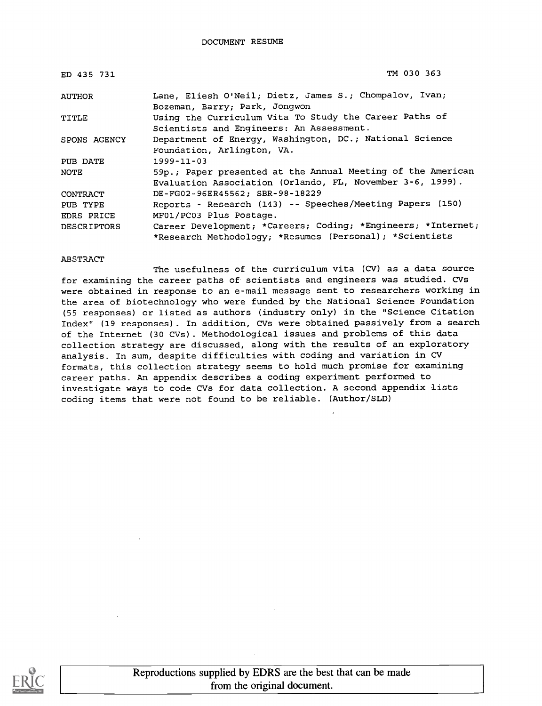| ED 435 731         | TM 030 363                                                   |
|--------------------|--------------------------------------------------------------|
| AUTHOR             | Lane, Eliesh O'Neil; Dietz, James S.; Chompalov, Ivan;       |
|                    | Bozeman, Barry; Park, Jongwon                                |
| <b>TITLE</b>       | Using the Curriculum Vita To Study the Career Paths of       |
|                    | Scientists and Engineers: An Assessment.                     |
| SPONS AGENCY       | Department of Energy, Washington, DC.; National Science      |
|                    | Foundation, Arlington, VA.                                   |
| PUB DATE           | $1999 - 11 - 03$                                             |
| NOTE               | 59p.; Paper presented at the Annual Meeting of the American  |
|                    | Evaluation Association (Orlando, FL, November 3-6, 1999).    |
| <b>CONTRACT</b>    | DE-FG02-96ER45562; SBR-98-18229                              |
| PUB TYPE           | Reports - Research (143) -- Speeches/Meeting Papers (150)    |
| EDRS PRICE         | MF01/PC03 Plus Postage.                                      |
| <b>DESCRIPTORS</b> | Career Development; *Careers; Coding; *Engineers; *Internet; |
|                    | *Research Methodology; *Resumes (Personal); *Scientists      |

#### ABSTRACT

The usefulness of the curriculum vita (CV) as a data source for examining the career paths of scientists and engineers was studied. CVs were obtained in response to an e-mail message sent to researchers working in the area of biotechnology who were funded by the National Science Foundation (55 responses) or listed as authors (industry only) in the "Science Citation Index" (19 responses). In addition, CVs were obtained passively from a search of the Internet (30 CVs). Methodological issues and problems of this data collection strategy are discussed, along with the results of an exploratory analysis. In sum, despite difficulties with coding and variation in CV formats, this collection strategy seems to hold much promise for examining career paths. An appendix describes a coding experiment performed to investigate ways to code CVs for data collection. A second appendix lists coding items that were not found to be reliable. (Author/SLD)

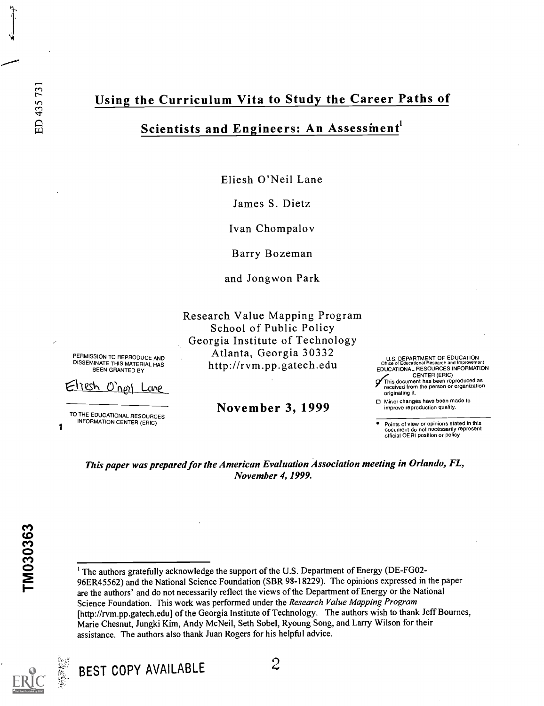### Using the Curriculum Vita to Study the Career Paths of

### Scientists and Engineers: An Assessment'

Eliesh O'Neil Lane

James S. Dietz

Ivan Chompalov

Barry Bozeman

and Jongwon Park

Research Value Mapping Program School of Public Policy Georgia Institute of Technology Atlanta, Georgia 30332 http://rvm.pp.gatech.edu

PERMISSION TO REPRODUCE AND DISSEMINATE THIS MATERIAL HAS BEEN GRANTED BY

<u> U'neil</u> Lane.

1 TO THE EDUCATIONAL RESOURCES INFORMATION CENTER (ERIC)

November 3, 1999

U.S. DEPARTMENT OF EDUCATION<br>Office of Educational Research and Improvement<br>EDUCATIONAL RESOURCES INFORMATION CENTER (ERIC)

**I**T This document has been reproduced as received from the person or organization originating it.

□ Minor changes have been made to improve reproduction quality.

Points of view or opinions stated in this document do not necessarily represent official OERI position or policy.

This paper was prepared for the American Evaluation Association meeting in Orlando, FL, November 4, 1999.

<sup>&#</sup>x27; The authors gratefully acknowledge the support of the U.S. Department of Energy (DE-FG02- 96ER45562) and the National Science Foundation (SBR 98-18229). The opinions expressed in the paper are the authors' and do not necessarily reflect the views of the Department of Energy or the National Science Foundation. This work was performed under the Research Value Mapping Program [http://rvm.pp.gatech.edu] of the Georgia Institute of Technology. The authors wish to thank Jeff Bournes, Marie Chesnut, Jungki Kim, Andy McNeil, Seth Sobel, Ryoung Song, and Larry Wilson for their assistance. The authors also thank Juan Rogers for his helpful advice.

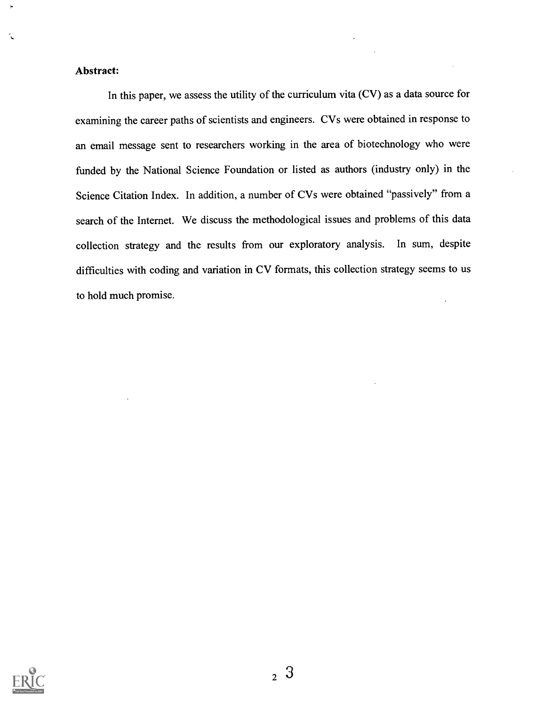#### Abstract:

In this paper, we assess the utility of the curriculum vita (CV) as a data source for examining the career paths of scientists and engineers. CVs were obtained in response to an email message sent to researchers working in the area of biotechnology who were funded by the National Science Foundation or listed as authors (industry only) in the Science Citation Index. In addition, a number of CVs were obtained "passively" from a search of the Internet. We discuss the methodological issues and problems of this data collection strategy and the results from our exploratory analysis. In sum, despite difficulties with coding and variation in CV formats, this collection strategy seems to us to hold much promise.

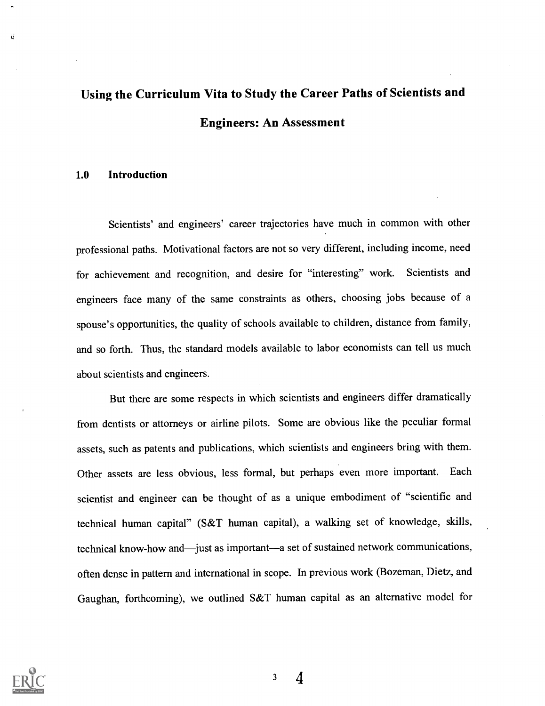# Using the Curriculum Vita to Study the Career Paths of Scientists and Engineers: An Assessment

#### 1.0 Introduction

Ų

Scientists' and engineers' career trajectories have much in common with other professional paths. Motivational factors are not so very different, including income, need for achievement and recognition, and desire for "interesting" work. Scientists and engineers face many of the same constraints as others, choosing jobs because of a spouse's opportunities, the quality of schools available to children, distance from family, and so forth. Thus, the standard models available to labor economists can tell us much about scientists and engineers.

But there are some respects in which scientists and engineers differ dramatically from dentists or attorneys or airline pilots. Some are obvious like the peculiar formal assets, such as patents and publications, which scientists and engineers bring with them. Other assets are less obvious, less formal, but perhaps even more important. Each scientist and engineer can be thought of as a unique embodiment of "scientific and technical human capital" (S&T human capital), a walking set of knowledge, skills, technical know-how and—just as important—a set of sustained network communications, often dense in pattern and international in scope. In previous work (Bozeman, Dietz, and Gaughan, forthcoming), we outlined S&T human capital as an alternative model for



 $\overline{3}$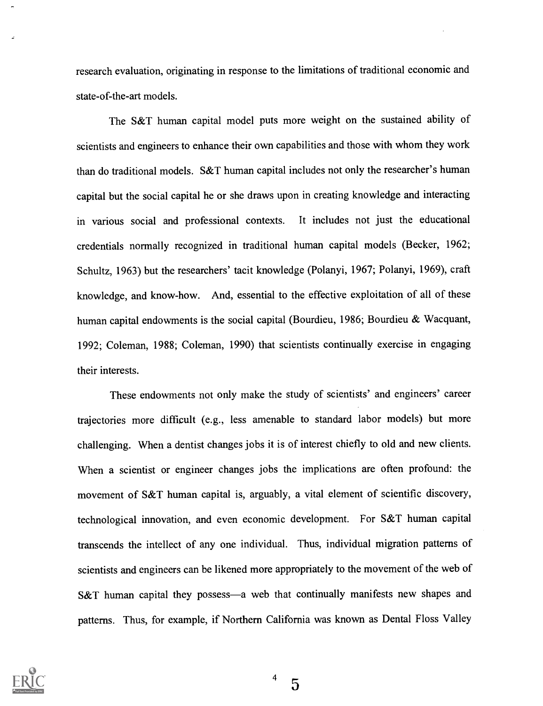research evaluation, originating in response to the limitations of traditional economic and state-of-the-art models.

The S&T human capital model puts more weight on the sustained ability of scientists and engineers to enhance their own capabilities and those with whom they work than do traditional models. S&T human capital includes not only the researcher's human capital but the social capital he or she draws upon in creating knowledge and interacting in various social and professional contexts. It includes not just the educational credentials normally recognized in traditional human capital models (Becker, 1962; Schultz, 1963) but the researchers' tacit knowledge (Polanyi, 1967; Polanyi, 1969), craft knowledge, and know-how. And, essential to the effective exploitation of all of these human capital endowments is the social capital (Bourdieu, 1986; Bourdieu & Wacquant, 1992; Coleman, 1988; Coleman, 1990) that scientists continually exercise in engaging their interests.

These endowments not only make the study of scientists' and engineers' career trajectories more difficult (e.g., less amenable to standard labor models) but more challenging. When a dentist changes jobs it is of interest chiefly to old and new clients. When a scientist or engineer changes jobs the implications are often profound: the movement of S&T human capital is, arguably, a vital element of scientific discovery, technological innovation, and even economic development. For S&T human capital transcends the intellect of any one individual. Thus, individual migration patterns of scientists and engineers can be likened more appropriately to the movement of the web of S&T human capital they possess—a web that continually manifests new shapes and patterns. Thus, for example, if Northern California was known as Dental Floss Valley

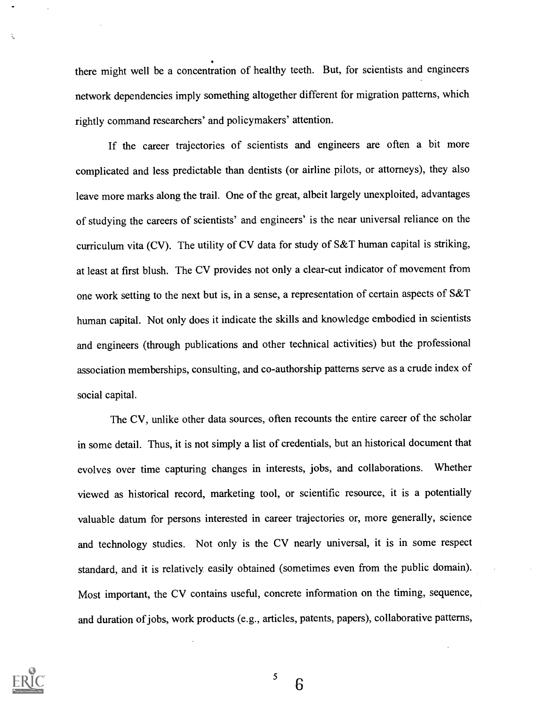there might well be a concentration of healthy teeth. But, for scientists and engineers network dependencies imply something altogether different for migration patterns, which rightly command researchers' and policymakers' attention.

If the career trajectories of scientists and engineers are often a bit more complicated and less predictable than dentists (or airline pilots, or attorneys), they also leave more marks along the trail. One of the great, albeit largely unexploited, advantages of studying the careers of scientists' and engineers' is the near universal reliance on the curriculum vita (CV). The utility of CV data for study of S&T human capital is striking, at least at first blush. The CV provides not only a clear-cut indicator of movement from one work setting to the next but is, in a sense, a representation of certain aspects of S&T human capital. Not only does it indicate the skills and knowledge embodied in scientists and engineers (through publications and other technical activities) but the professional association memberships, consulting, and co-authorship patterns serve as a crude index of social capital.

The CV, unlike other data sources, often recounts the entire career of the scholar in some detail. Thus, it is not simply a list of credentials, but an historical document that evolves over time capturing changes in interests, jobs, and collaborations. Whether viewed as historical record, marketing tool, or scientific resource, it is a potentially valuable datum for persons interested in career trajectories or, more generally, science and technology studies. Not only is the CV nearly universal, it is in some respect standard, and it is relatively, easily obtained (sometimes even from the public domain). Most important, the CV contains useful, concrete information on the timing, sequence, and duration of jobs, work products (e.g., articles, patents, papers), collaborative patterns,



 $\frac{5}{6}$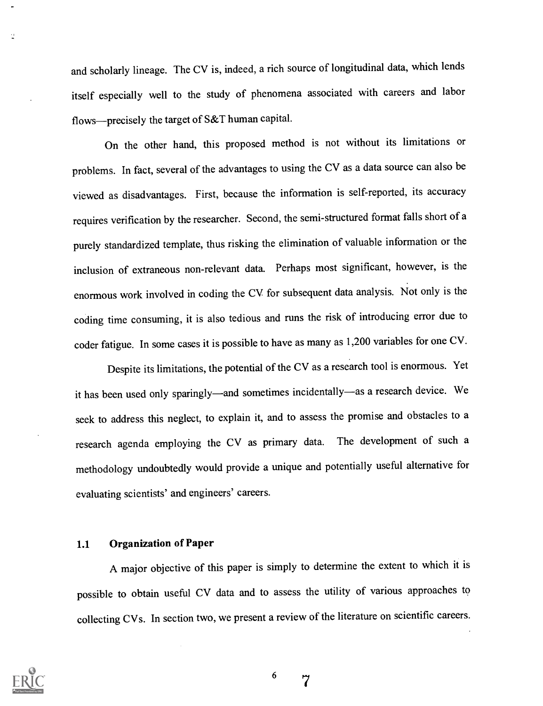and scholarly lineage. The CV is, indeed, a rich source of longitudinal data, which lends itself especially well to the study of phenomena associated with careers and labor flows—precisely the target of S&T human capital.

On the other hand, this proposed method is not without its limitations or problems. In fact, several of the advantages to using the CV as a data source can also be viewed as disadvantages. First, because the information is self-reported, its accuracy requires verification by the researcher. Second, the semi-structured format falls short of a purely standardized template, thus risking the elimination of valuable information or the inclusion of extraneous non-relevant data. Perhaps most significant, however, is the enormous work involved in coding the CV for subsequent data analysis. Not only is the coding time consuming, it is also tedious and runs the risk of introducing error due to coder fatigue. In some cases it is possible to have as many as 1,200 variables for one CV.

Despite its limitations, the potential of the CV as a research tool is enormous. Yet it has been used only sparingly—and sometimes incidentally—as a research device. We seek to address this neglect, to explain it, and to assess the promise and obstacles to a research agenda employing the CV as primary data. The development of such a methodology undoubtedly would provide a unique and potentially useful alternative for evaluating scientists' and engineers' careers.

#### 1.1 Organization of Paper

A major objective of this paper is simply to determine the extent to which it is possible to obtain useful CV data and to assess the utility of various approaches to collecting CVs. In section two, we present a review of the literature on scientific careers.



÷.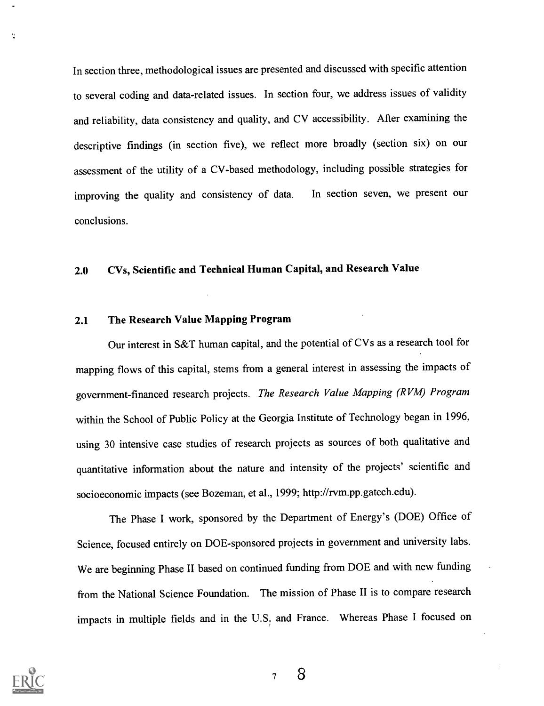In section three, methodological issues are presented and discussed with specific attention to several coding and data-related issues. In section four, we address issues of validity and reliability, data consistency and quality, and CV accessibility. After examining the descriptive findings (in section five), we reflect more broadly (section six) on our assessment of the utility of a CV-based methodology, including possible strategies for improving the quality and consistency of data. In section seven, we present our conclusions.

#### 2.0 CVs, Scientific and Technical Human Capital, and Research Value

#### 2.1 The Research Value Mapping Program

Our interest in S&T human capital, and the potential of CVs as a research tool for mapping flows of this capital, stems from a general interest in assessing the impacts of government-financed research projects. The Research Value Mapping (RVM) Program within the School of Public Policy at the Georgia Institute of Technology began in 1996, using 30 intensive case studies of research projects as sources of both qualitative and quantitative information about the nature and intensity of the projects' scientific and socioeconomic impacts (see Bozeman, et al., 1999; http://rvm.pp.gatech.edu).

The Phase I work, sponsored by the Department of Energy's (DOE) Office of Science, focused entirely on DOE-sponsored projects in government and university labs. We are beginning Phase II based on continued funding from DOE and with new funding from the National Science Foundation. The mission of Phase II is to compare research impacts in multiple fields and in the U.S. and France. Whereas Phase I focused on



 $\bar{\Omega}$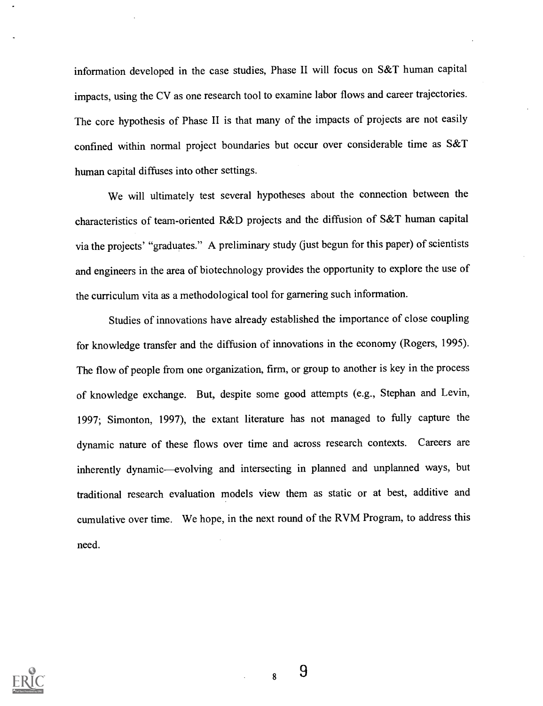information developed in the case studies, Phase II will focus on S&T human capital impacts, using the CV as one research tool to examine labor flows and career trajectories. The core hypothesis of Phase II is that many of the impacts of projects are not easily confined within normal project boundaries but occur over considerable time as S&T human capital diffuses into other settings.

We will ultimately test several hypotheses about the connection between the characteristics of team-oriented R&D projects and the diffusion of S&T human capital via the projects' "graduates." A preliminary study (just begun for this paper) of scientists and engineers in the area of biotechnology provides the opportunity to explore the use of the curriculum vita as a methodological tool for garnering such information.

Studies of innovations have already established the importance of close coupling for knowledge transfer and the diffusion of innovations in the economy (Rogers, 1995). The flow of people from one organization, firm, or group to another is key in the process of knowledge exchange. But, despite some good attempts (e.g., Stephan and Levin, 1997; Simonton, 1997), the extant literature has not managed to fully capture the dynamic nature of these flows over time and across research contexts. Careers are inherently dynamic—evolving and intersecting in planned and unplanned ways, but traditional research evaluation models view them as static or at best, additive and cumulative over time. We hope, in the next round of the RVM Program, to address this need.

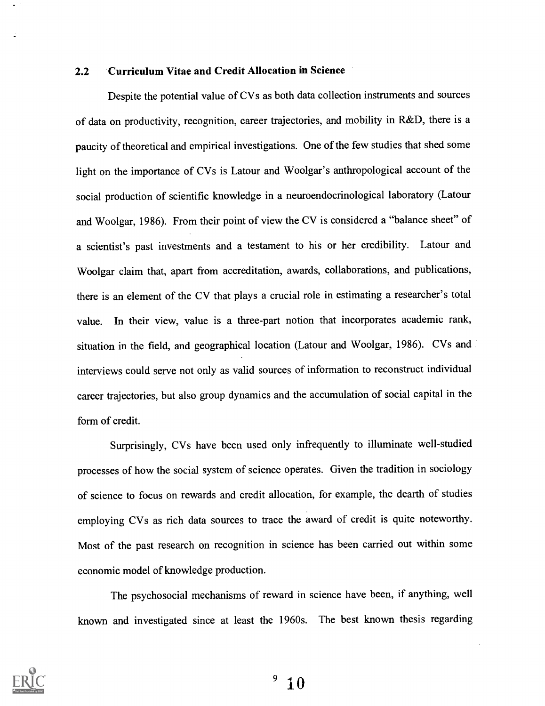#### 2.2 Curriculum Vitae and Credit Allocation in Science

Despite the potential value of CVs as both data collection instruments and sources of data on productivity, recognition, career trajectories, and mobility in R&D, there is a paucity of theoretical and empirical investigations. One of the few studies that shed some light on the importance of CVs is Latour and Woolgar's anthropological account of the social production of scientific knowledge in a neuroendocrinological laboratory (Latour and Woolgar, 1986). From their point of view the CV is considered a "balance sheet" of a scientist's past investments and a testament to his or her credibility. Latour and Woolgar claim that, apart from accreditation, awards, collaborations, and publications, there is an element of the CV that plays a crucial role in estimating a researcher's total value. In their view, value is a three-part notion that incorporates academic rank, situation in the field, and geographical location (Latour and Woolgar, 1986). CVs and interviews could serve not only as valid sources of information to reconstruct individual career trajectories, but also group dynamics and the accumulation of social capital in the form of credit.

Surprisingly, CVs have been used only infrequently to illuminate well-studied processes of how the social system of science operates. Given the tradition in sociology of science to focus on rewards and credit allocation, for example, the dearth of studies employing CVs as rich data sources to trace the award of credit is quite noteworthy. Most of the past research on recognition in science has been carried out within some economic model of knowledge production.

The psychosocial mechanisms of reward in science have been, if anything, well known and investigated since at least the 1960s. The best known thesis regarding



 $^{9}$  10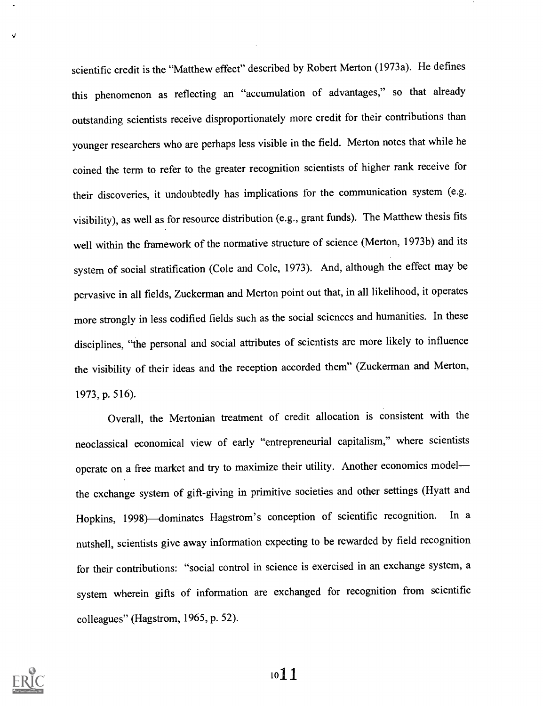scientific credit is the "Matthew effect" described by Robert Merton (1973a). He defines this phenomenon as reflecting an "accumulation of advantages," so that already outstanding scientists receive disproportionately more credit for their contributions than younger researchers who are perhaps less visible in the field. Merton notes that while he coined the term to refer to the greater recognition scientists of higher rank receive for their discoveries, it undoubtedly has implications for the communication system (e.g. visibility), as well as for resource distribution (e.g., grant funds). The Matthew thesis fits well within the framework of the normative structure of science (Merton, 1973b) and its system of social stratification (Cole and Cole, 1973). And, although the effect may be pervasive in all fields, Zuckerman and Merton point out that, in all likelihood, it operates more strongly in less codified fields such as the social sciences and humanities. In these disciplines, "the personal and social attributes of scientists are more likely to influence the visibility of their ideas and the reception accorded them" (Zuckerman and Merton, 1973, p. 516).

Overall, the Mertonian treatment of credit allocation is consistent with the neoclassical economical view of early "entrepreneurial capitalism," where scientists operate on a free market and try to maximize their utility. Another economics model the exchange system of gift-giving in primitive societies and other settings (Hyatt and Hopkins, 1998)-dominates Hagstrom's conception of scientific recognition. In a nutshell, scientists give away information expecting to be rewarded by field recognition for their contributions: "social control in science is exercised in an exchange system, a system wherein gifts of information are exchanged for recognition from scientific colleagues" (Hagstrom, 1965, p. 52).

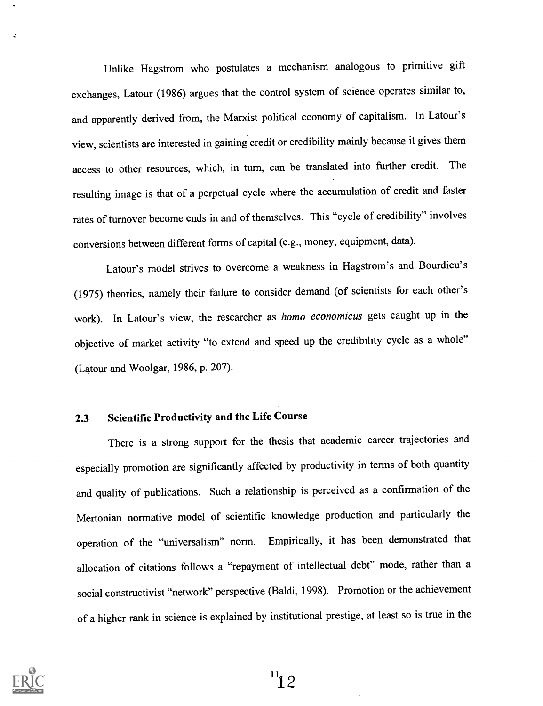Unlike Hagstrom who postulates a mechanism analogous to primitive gift exchanges, Latour (1986) argues that the control system of science operates similar to, and apparently derived from, the Marxist political economy of capitalism. In Latour's view, scientists are interested in gaining credit or credibility mainly because it gives them access to other resources, which, in turn, can be translated into further credit. The resulting image is that of a perpetual cycle where the accumulation of credit and faster rates of turnover become ends in and of themselves. This "cycle of credibility" involves conversions between different forms of capital (e.g., money, equipment, data).

Latour's model strives to overcome a weakness in Hagstrom's and Bourdieu's (1975) theories, namely their failure to consider demand (of scientists for each other's work). In Latour's view, the researcher as homo economicus gets caught up in the objective of market activity "to extend and speed up the credibility cycle as a whole" (Latour and Woolgar, 1986, p. 207).

#### 2.3 Scientific Productivity and the Life Course

There is a strong support for the thesis that academic career trajectories and especially promotion are significantly affected by productivity in terms of both quantity and quality of publications. Such a relationship is perceived as a confirmation of the Mertonian normative model of scientific knowledge production and particularly the operation of the "universalism" norm. Empirically, it has been demonstrated that allocation of citations follows a "repayment of intellectual debt" mode, rather than a social constructivist "network" perspective (Baldi, 1998). Promotion or the achievement of a higher rank in science is explained by institutional prestige, at least so is true in the

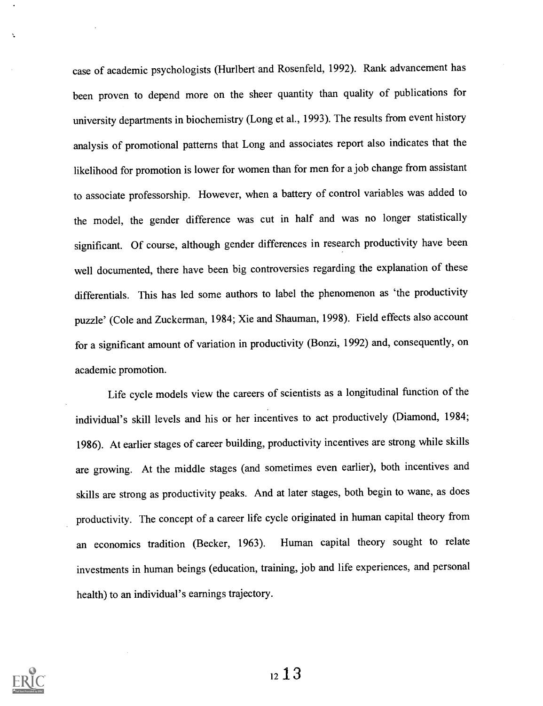case of academic psychologists (Hurlbert and Rosenfeld, 1992). Rank advancement has been proven to depend more on the sheer quantity than quality of publications for university departments in biochemistry (Long et al., 1993). The results from event history analysis of promotional patterns that Long and associates report also indicates that the likelihood for promotion is lower for women than for men for a job change from assistant to associate professorship. However, when a battery of control variables was added to the model, the gender difference was cut in half and was no longer statistically significant. Of course, although gender differences in research productivity have been well documented, there have been big controversies regarding the explanation of these differentials. This has led some authors to label the phenomenon as 'the productivity puzzle' (Cole and Zuckerman, 1984; Xie and Shauman, 1998). Field effects also account for a significant amount of variation in productivity (Bonzi, 1992) and, consequently, on academic promotion.

Life cycle models view the careers of scientists as a longitudinal function of the individual's skill levels and his or her incentives to act productively (Diamond, 1984; 1986). At earlier stages of career building, productivity incentives are strong while skills are growing. At the middle stages (and sometimes even earlier), both incentives and skills are strong as productivity peaks. And at later stages, both begin to wane, as does productivity. The concept of a career life cycle originated in human capital theory from an economics tradition (Becker, 1963). Human capital theory sought to relate investments in human beings (education, training, job and life experiences, and personal health) to an individual's earnings trajectory.

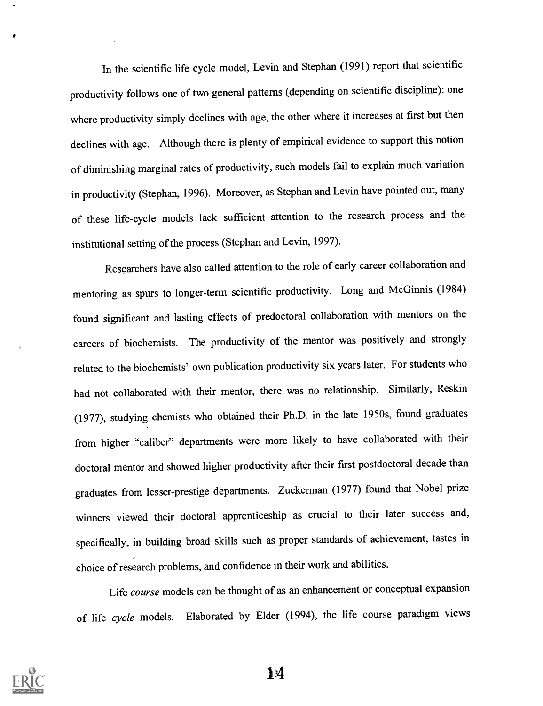In the scientific life cycle model, Levin and Stephan (1991) report that scientific productivity follows one of two general patterns (depending on scientific discipline): one where productivity simply declines with age, the other where it increases at first but then declines with age. Although there is plenty of empirical evidence to support this notion of diminishing marginal rates of productivity, such models fail to explain much variation in productivity (Stephan, 1996). Moreover, as Stephan and Levin have pointed out, many of these life-cycle models lack sufficient attention to the research process and the institutional setting of the process (Stephan and Levin, 1997).

Researchers have also called attention to the role of early career collaboration and mentoring as spurs to longer-term scientific productivity. Long and McGinnis (1984) found significant and lasting effects of predoctoral collaboration with mentors on the careers of biochemists. The productivity of the mentor was positively and strongly related to the biochemists' own publication productivity six years later. For students who had not collaborated with their mentor, there was no relationship. Similarly, Reskin (1977), studying chemists who obtained their Ph.D. in the late 1950s, found graduates from higher "caliber" departments were more likely to have collaborated with their doctoral mentor and showed higher productivity after their first postdoctoral decade than graduates from lesser-prestige departments. Zuckerman (1977) found that Nobel prize winners viewed their doctoral apprenticeship as crucial to their later success and, specifically, in building broad skills such as proper standards of achievement, tastes in choice of research problems, and confidence in their work and abilities.

Life course models can be thought of as an enhancement or conceptual expansion of life cycle models. Elaborated by Elder (1994), the life course paradigm views

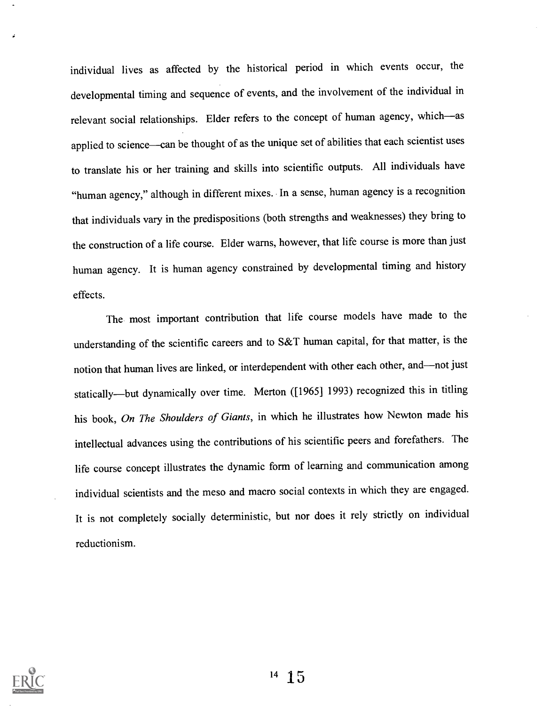individual lives as affected by the historical period in which events occur, the developmental timing and sequence of events, and the involvement of the individual in relevant social relationships. Elder refers to the concept of human agency, which-as applied to science—can be thought of as the unique set of abilities that each scientist uses to translate his or her training and skills into scientific outputs. All individuals have "human agency," although in different mixes. In a sense, human agency is a recognition that individuals vary in the predispositions (both strengths and weaknesses) they bring to the construction of a life course. Elder warns, however, that life course is more than just human agency. It is human agency constrained by developmental timing and history effects.

The most important contribution that life course models have made to the understanding of the scientific careers and to S&T human capital, for that matter, is the notion that human lives are linked, or interdependent with other each other, and-not just statically—but dynamically over time. Merton ([1965] 1993) recognized this in titling his book, On The Shoulders of Giants, in which he illustrates how Newton made his intellectual advances using the contributions of his scientific peers and forefathers. The life course concept illustrates the dynamic form of learning and communication among individual scientists and the meso and macro social contexts in which they are engaged. It is not completely socially deterministic, but nor does it rely strictly on individual reductionism.

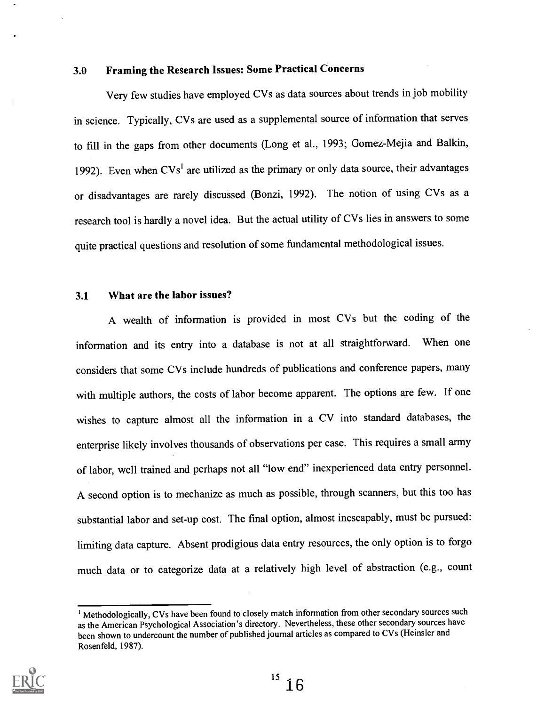#### 3.0 Framing the Research Issues: Some Practical Concerns

Very few studies have employed CVs as data sources about trends in job mobility in science. Typically, CVs are used as a supplemental source of information that serves to fill in the gaps from other documents (Long et al., 1993; Gomez-Mejia and Balkin, 1992). Even when  $CVs<sup>1</sup>$  are utilized as the primary or only data source, their advantages or disadvantages are rarely discussed (Bonzi, 1992). The notion of using CVs as a research tool is hardly a novel idea. But the actual utility of CVs lies in answers to some quite practical questions and resolution of some fundamental methodological issues.

#### 3.1 What are the labor issues?

A wealth of information is provided in most CVs but the coding of the information and its entry into a database is not at all straightforward. When one considers that some CVs include hundreds of publications and conference papers, many with multiple authors, the costs of labor become apparent. The options are few. If one wishes to capture almost all the information in a CV into standard databases, the enterprise likely involves thousands of observations per case. This requires a small army of labor, well trained and perhaps not all "low end" inexperienced data entry personnel. A second option is to mechanize as much as possible, through scanners, but this too has substantial labor and set-up cost. The final option, almost inescapably, must be pursued: limiting data capture. Absent prodigious data entry resources, the only option is to forgo much data or to categorize data at a relatively high level of abstraction (e.g., count

<sup>&</sup>lt;sup>1</sup> Methodologically, CVs have been found to closely match information from other secondary sources such as the American Psychological Association's directory. Nevertheless, these other secondary sources have been shown to undercount the number of published journal articles as compared to CVs (Heinsler and Rosenfeld, 1987).

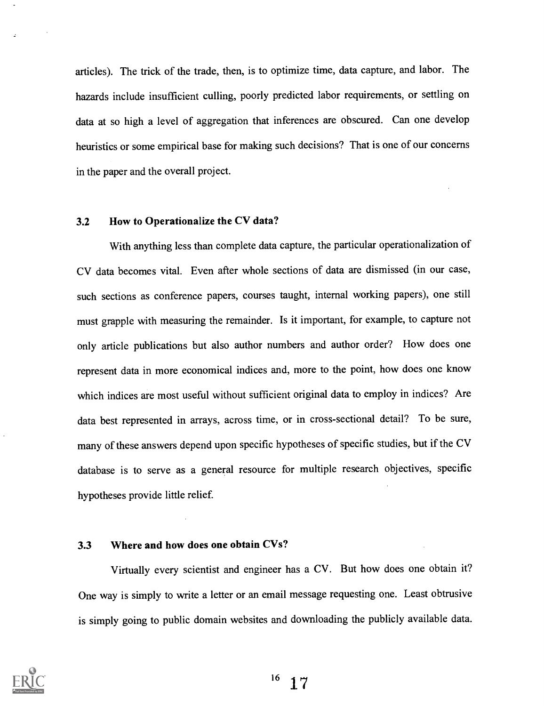articles). The trick of the trade, then, is to optimize time, data capture, and labor. The hazards include insufficient culling, poorly predicted labor requirements, or settling on data at so high a level of aggregation that inferences are obscured. Can one develop heuristics or some empirical base for making such decisions? That is one of our concerns in the paper and the overall project.

#### 3.2 How to Operationalize the CV data?

With anything less than complete data capture, the particular operationalization of CV data becomes vital. Even after whole sections of data are dismissed (in our case, such sections as conference papers, courses taught, internal working papers), one still must grapple with measuring the remainder. Is it important, for example, to capture not only article publications but also author numbers and author order? How does one represent data in more economical indices and, more to the point, how does one know which indices are most useful without sufficient original data to employ in indices? Are data best represented in arrays, across time, or in cross-sectional detail? To be sure, many of these answers depend upon specific hypotheses of specific studies, but if the CV database is to serve as a general resource for multiple research objectives, specific hypotheses provide little relief.

#### 3.3 Where and how does one obtain CVs?

Virtually every scientist and engineer has a CV. But how does one obtain it? One way is simply to write a letter or an email message requesting one. Least obtrusive is simply going to public domain websites and downloading the publicly available data.

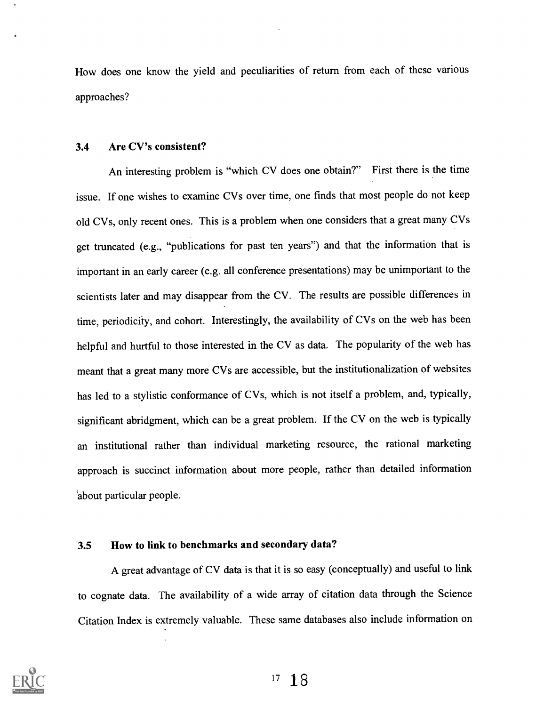How does one know the yield and peculiarities of return from each of these various approaches?

#### 3.4 Are CV's consistent?

An interesting problem is "which CV does one obtain?" First there is the time issue. If one wishes to examine CVs over time, one finds that most people do not keep old CVs, only recent ones. This is a problem when one considers that a great many CVs get truncated (e.g., "publications for past ten years") and that the information that is important in an early career (e.g. all conference presentations) may be unimportant to the scientists later and may disappear from the CV. The results are possible differences in time, periodicity, and cohort. Interestingly, the availability of CVs on the web has been helpful and hurtful to those interested in the CV as data. The popularity of the web has meant that a great many more CVs are accessible, but the institutionalization of websites has led to a stylistic conformance of CVs, which is not itself a problem, and, typically, significant abridgment, which can be a great problem. If the CV on the web is typically an institutional rather than individual marketing resource, the rational marketing approach is succinct information about more people, rather than detailed information `about particular people.

#### 3.5 How to link to benchmarks and secondary data?

A great advantage of CV data is that it is so easy (conceptually) and useful to link to cognate data. The availability of a wide array of citation data through the Science Citation Index is extremely valuable. These same databases also include information on

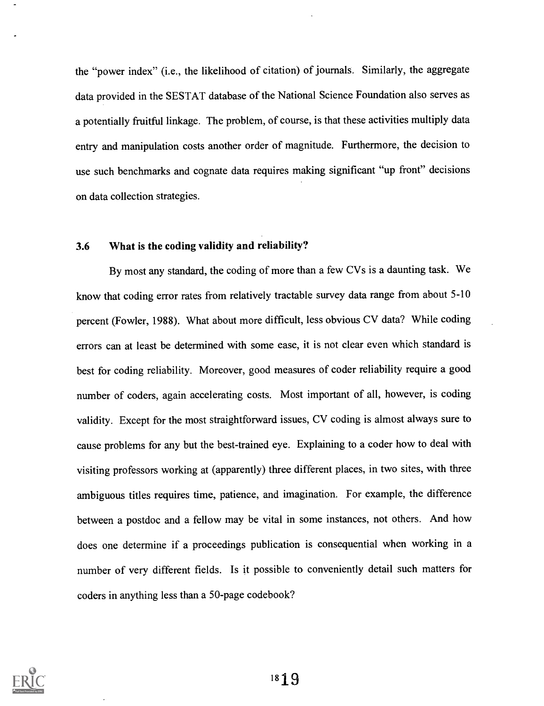the "power index" (i.e., the likelihood of citation) of journals. Similarly, the aggregate data provided in the SESTAT database of the National Science Foundation also serves as a potentially fruitful linkage. The problem, of course, is that these activities multiply data entry and manipulation costs another order of magnitude. Furthermore, the decision to use such benchmarks and cognate data requires making significant "up front" decisions on data collection strategies.

#### 3.6 What is the coding validity and reliability?

By most any standard, the coding of more than a few CVs is a daunting task. We know that coding error rates from relatively tractable survey data range from about 5-10 percent (Fowler, 1988). What about more difficult, less obvious CV data? While coding errors can at least be determined with some ease, it is not clear even which standard is best for coding reliability. Moreover, good measures of coder reliability require a good number of coders, again accelerating costs. Most important of all, however, is coding validity. Except for the most straightforward issues, CV coding is almost always sure to cause problems for any but the best-trained eye. Explaining to a coder how to deal with visiting professors working at (apparently) three different places, in two sites, with three ambiguous titles requires time, patience, and imagination. For example, the difference between a postdoc and a fellow may be vital in some instances, not others. And how does one determine if a proceedings publication is consequential when working in a number of very different fields. Is it possible to conveniently detail such matters for coders in anything less than a 50-page codebook?

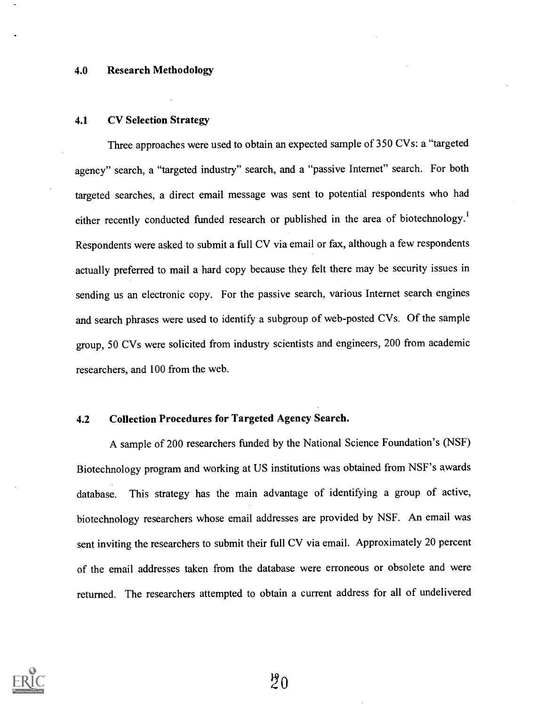#### 4.0 Research Methodology

#### 4.1 CV Selection Strategy

Three approaches were used to obtain an expected sample of 350 CVs: a "targeted agency" search, a "targeted industry" search, and a "passive Internet" search. For both targeted searches, a direct email message was sent to potential respondents who had either recently conducted funded research or published in the area of biotechnology.<sup>1</sup> Respondents were asked to submit a full CV via email or fax, although a few respondents actually preferred to mail a hard copy because they felt there may be security issues in sending us an electronic copy. For the passive search, various Internet search engines and search phrases were used to identify a subgroup of web-posted CVs. Of the sample group, 50 CVs were solicited from industry scientists and engineers, 200 from academic researchers, and 100 from the web.

#### 4.2 Collection Procedures for Targeted Agency Search.

A sample of 200 researchers funded by the National Science Foundation's (NSF) Biotechnology program and working at US institutions was obtained from NSF's awards database. This strategy has the main advantage of identifying a group of active, biotechnology researchers whose email addresses are provided by NSF. An email was sent inviting the researchers to submit their full CV via email. Approximately 20 percent of the email addresses taken from the database were erroneous or obsolete and were returned. The researchers attempted to obtain a current address for all of undelivered

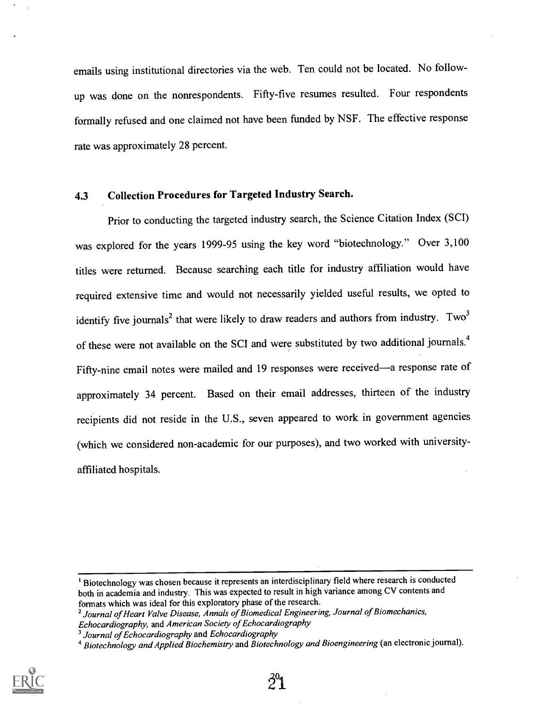emails using institutional directories via the web. Ten could not be located. No followup was done on the nonrespondents. Fifty-five resumes resulted. Four respondents formally refused and one claimed not have been funded by NSF. The effective response rate was approximately 28 percent.

#### 4.3 Collection Procedures for Targeted Industry Search.

Prior to conducting the targeted industry search, the Science Citation Index (SCI) was explored for the years 1999-95 using the key word "biotechnology." Over 3,100 titles were returned. Because searching each title for industry affiliation would have required extensive time and would not necessarily yielded useful results, we opted to identify five journals<sup>2</sup> that were likely to draw readers and authors from industry. Two<sup>3</sup> of these were not available on the SCI and were substituted by two additional journals.<sup>4</sup> Fifty-nine email notes were mailed and 19 responses were received—a response rate of approximately 34 percent. Based on their email addresses, thirteen of the industry recipients did not reside in the U.S., seven appeared to work in government agencies (which we considered non-academic for our purposes), and two worked with universityaffiliated hospitals.

 $4$  Biotechnology and Applied Biochemistry and Biotechnology and Bioengineering (an electronic journal).



<sup>&#</sup>x27; Biotechnology was chosen because it represents an interdisciplinary field where research is conducted both in academia and industry. This was expected to result in high variance among CV contents and formats which was ideal for this exploratory phase of the research.

 $<sup>2</sup>$  Journal of Heart Valve Disease, Annals of Biomedical Engineering, Journal of Biomechanics,</sup> Echocardiography, and American Society of Echocardiography

<sup>&</sup>lt;sup>3</sup> Journal of Echocardiography and Echocardiography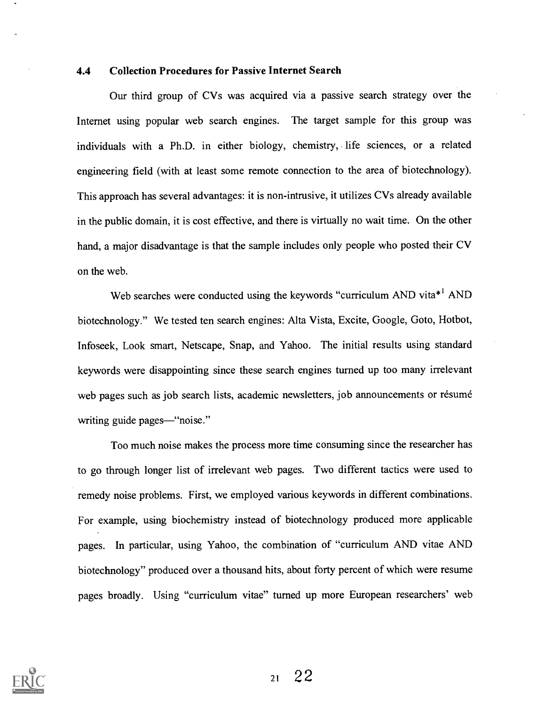#### 4.4 Collection Procedures for Passive Internet Search

Our third group of CVs was acquired via a passive search strategy over the Internet using popular web search engines. The target sample for this group was individuals with a Ph.D. in either biology, chemistry, life sciences, or a related engineering field (with at least some remote connection to the area of biotechnology). This approach has several advantages: it is non-intrusive, it utilizes CVs already available in the public domain, it is cost effective, and there is virtually no wait time. On the other hand, a major disadvantage is that the sample includes only people who posted their CV on the web.

Web searches were conducted using the keywords "curriculum AND vita\*<sup>1</sup> AND biotechnology." We tested ten search engines: Alta Vista, Excite, Google, Goto, Hotbot, Infoseek, Look smart, Netscape, Snap, and Yahoo. The initial results using standard keywords were disappointing since these search engines turned up too many irrelevant web pages such as job search lists, academic newsletters, job announcements or résumé writing guide pages—"noise."

Too much noise makes the process more time consuming since the researcher has to go through longer list of irrelevant web pages. Two different tactics were used to remedy noise problems. First, we employed various keywords in different combinations. For example, using biochemistry instead of biotechnology produced more applicable pages. In particular, using Yahoo, the combination of "curriculum AND vitae AND biotechnology" produced over a thousand hits, about forty percent of which were resume pages broadly. Using "curriculum vitae" turned up more European researchers' web

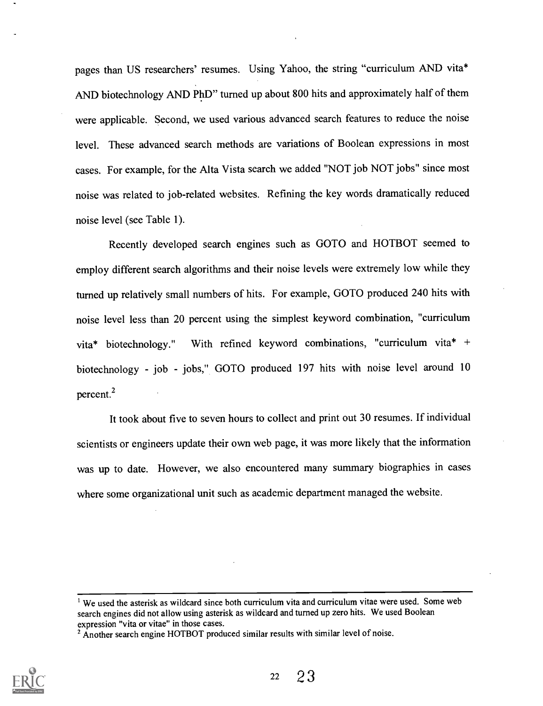pages than US researchers' resumes. Using Yahoo, the string "curriculum AND vita\* AND biotechnology AND PhD" turned up about 800 hits and approximately half of them were applicable. Second, we used various advanced search features to reduce the noise level. These advanced search methods are variations of Boolean expressions in most cases. For example, for the Alta Vista search we added "NOT job NOT jobs" since most noise was related to job-related websites. Refining the key words dramatically reduced noise level (see Table 1).

Recently developed search engines such as GOTO and HOTBOT seemed to employ different search algorithms and their noise levels were extremely low while they turned up relatively small numbers of hits. For example, GOTO produced 240 hits with noise level less than 20 percent using the simplest keyword combination, "curriculum vita\* biotechnology." With refined keyword combinations, "curriculum vita\* + biotechnology - job - jobs," GOTO produced 197 hits with noise level around 10 percent.2

It took about five to seven hours to collect and print out 30 resumes. If individual scientists or engineers update their own web page, it was more likely that the information was up to date. However, we also encountered many summary biographies in cases where some organizational unit such as academic department managed the website.



<sup>&</sup>lt;sup>1</sup> We used the asterisk as wildcard since both curriculum vita and curriculum vitae were used. Some web search engines did not allow using asterisk as wildcard and turned up zero hits. We used Boolean expression "vita or vitae" in those cases.

<sup>&</sup>lt;sup>2</sup> Another search engine HOTBOT produced similar results with similar level of noise.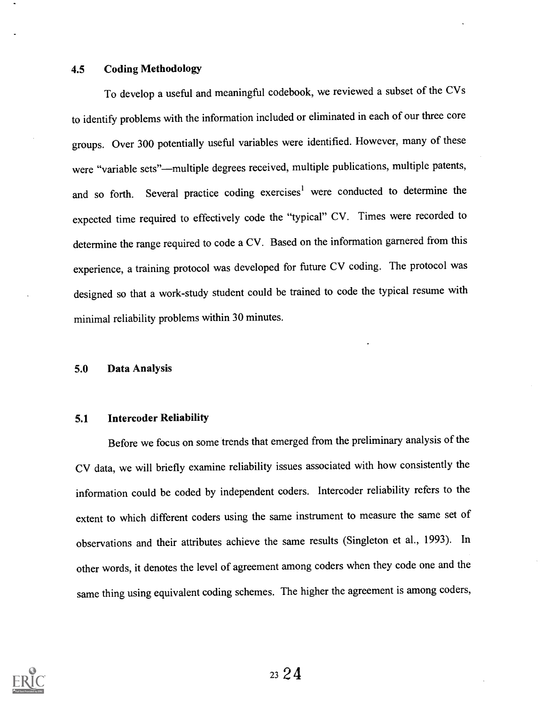#### 4.5 Coding Methodology

To develop a useful and meaningful codebook, we reviewed a subset of the CVs to identify problems with the information included or eliminated in each of our three core groups. Over 300 potentially useful variables were identified. However, many of these were "variable sets"—multiple degrees received, multiple publications, multiple patents, and so forth. Several practice coding exercises<sup>1</sup> were conducted to determine the expected time required to effectively code the "typical" CV. Times were recorded to determine the range required to code a CV. Based on the information garnered from this experience, a training protocol was developed for future CV coding. The protocol was designed so that a work-study student could be trained to code the typical resume with minimal reliability problems within 30 minutes.

#### 5.0 Data Analysis

#### 5.1 Intercoder Reliability

Before we focus on some trends that emerged from the preliminary analysis of the CV data, we will briefly examine reliability issues associated with how consistently the information could be coded by independent coders. Intercoder reliability refers to the extent to which different coders using the same instrument to measure the same set of observations and their attributes achieve the same results (Singleton et al., 1993). In other words, it denotes the level of agreement among coders when they code one and the same thing using equivalent coding schemes. The higher the agreement is among coders,

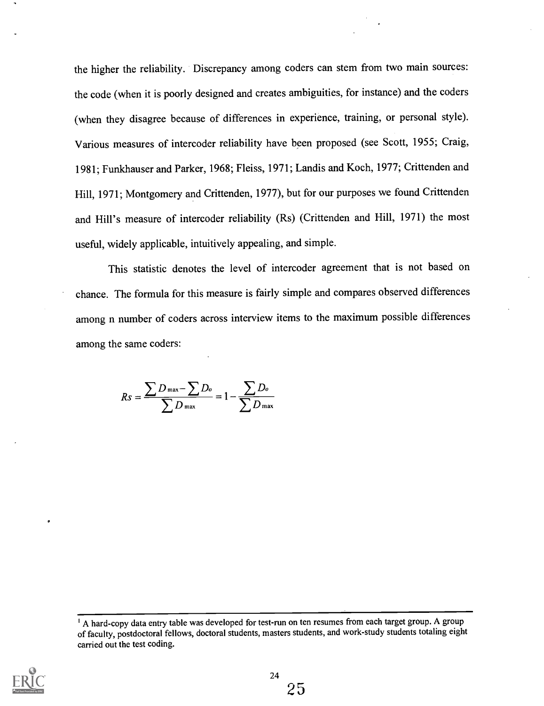the higher the reliability. Discrepancy among coders can stem from two main sources: the code (when it is poorly designed and creates ambiguities, for instance) and the coders (when they disagree because of differences in experience, training, or personal style). Various measures of intercoder reliability have been proposed (see Scott, 1955; Craig, 1981; Funkhauser and Parker, 1968; Fleiss, 1971; Landis and Koch, 1977; Crittenden and Hill, 1971; Montgomery and Crittenden, 1977), but for our purposes we found Crittenden and Hill's measure of intercoder reliability (Rs) (Crittenden and Hill, 1971) the most useful, widely applicable, intuitively appealing, and simple.

This statistic denotes the level of intercoder agreement that is not based on chance. The formula for this measure is fairly simple and compares observed differences among n number of coders across interview items to the maximum possible differences among the same coders:

$$
Rs = \frac{\sum D_{\max} - \sum D_o}{\sum D_{\max}} = 1 - \frac{\sum D_o}{\sum D_{\max}}
$$

<sup>&</sup>lt;sup>1</sup> A hard-copy data entry table was developed for test-run on ten resumes from each target group. A group of faculty, postdoctoral fellows, doctoral students, masters students, and work-study students totaling eight carried out the test coding.

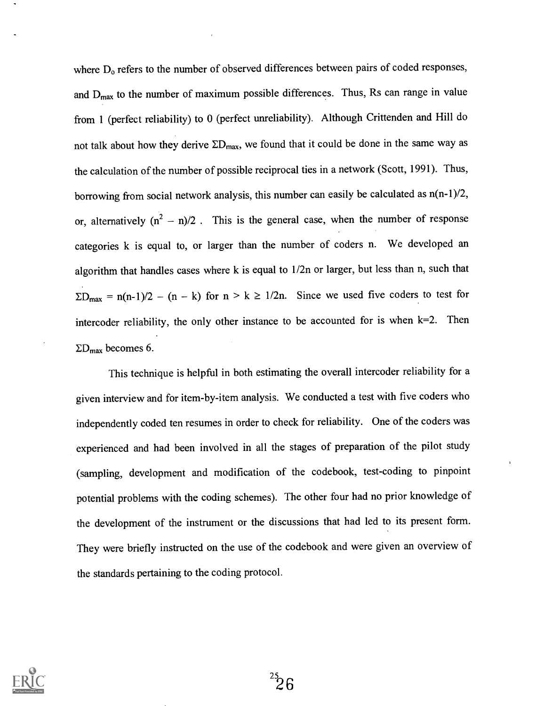where  $D_0$  refers to the number of observed differences between pairs of coded responses, and  $D_{\text{max}}$  to the number of maximum possible differences. Thus, Rs can range in value from 1 (perfect reliability) to 0 (perfect unreliability). Although Crittenden and Hill do not talk about how they derive  $\Sigma D_{\text{max}}$ , we found that it could be done in the same way as the calculation of the number of possible reciprocal ties in a network (Scott, 1991). Thus, borrowing from social network analysis, this number can easily be calculated as n(n-1)/2, or, alternatively  $(n^2 - n)/2$ . This is the general case, when the number of response categories k is equal to, or larger than the number of coders n. We developed an algorithm that handles cases where k is equal to 1/2n or larger, but less than n, such that  $\Sigma D_{\text{max}} = n(n-1)/2 - (n - k)$  for  $n > k \ge 1/2n$ . Since we used five coders to test for intercoder reliability, the only other instance to be accounted for is when  $k=2$ . Then  $\Sigma$ D<sub>max</sub> becomes 6.

This technique is helpful in both estimating the overall intercoder reliability for a given interview and for item-by-item analysis. We conducted a test with five coders who independently coded ten resumes in order to check for reliability. One of the coders was experienced and had been involved in all the stages of preparation of the pilot study (sampling, development and modification of the codebook, test-coding to pinpoint potential problems with the coding schemes). The other four had no prior knowledge of the development of the instrument or the discussions that had led to its present form. They were briefly instructed on the use of the codebook and were given an overview of the standards pertaining to the coding protocol.

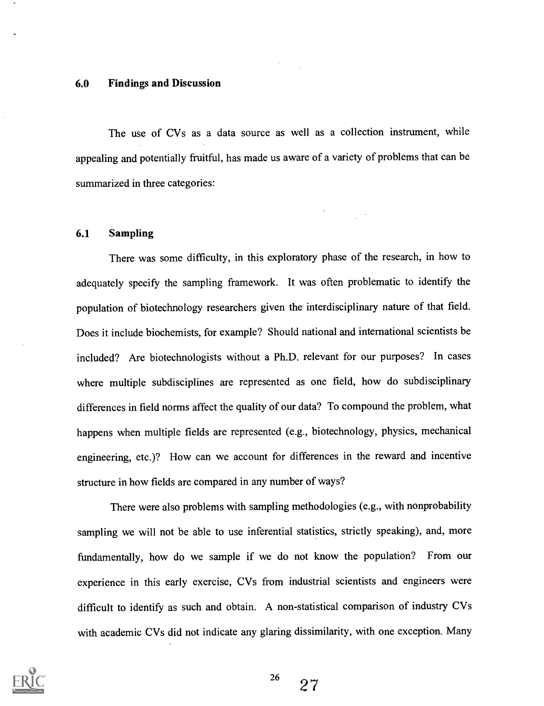#### 6.0 Findings and Discussion

The use of CVs as a data source as well as a collection instrument, while appealing and potentially fruitful, has made us aware of a variety of problems that can be summarized in three categories:

#### 6.1 Sampling

There was some difficulty, in this exploratory phase of the research, in how to adequately specify the sampling framework. It was often problematic to identify the population of biotechnology researchers given the interdisciplinary nature of that field. Does it include biochemists, for example? Should national and international scientists be included? Are biotechnologists without a Ph.D. relevant for our purposes? In cases where multiple subdisciplines are represented as one field, how do subdisciplinary differences in field norms affect the quality of our data? To compound the problem, what happens when multiple fields are represented (e.g., biotechnology, physics, mechanical engineering, etc.)? How can we account for differences in the reward and incentive structure in how fields are compared in any number of ways?

There were also problems with sampling methodologies (e.g., with nonprobability sampling we will not be able to use inferential statistics, strictly speaking), and, more fundamentally, how do we sample if we do not know the population? From our experience in this early exercise, CVs from industrial scientists and engineers were difficult to identify as such and obtain. A non-statistical comparison of industry CVs with academic CVs did not indicate any glaring dissimilarity, with one exception. Many

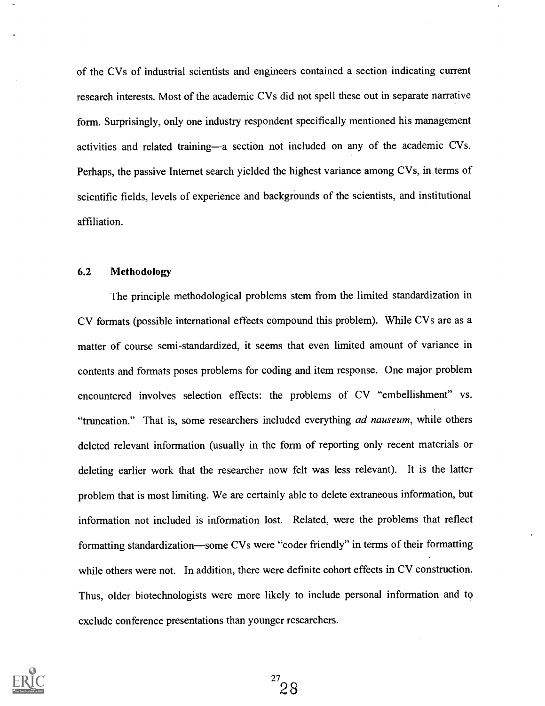of the CVs of industrial scientists and engineers contained a section indicating current research interests. Most of the academic CVs did not spell these out in separate narrative form. Surprisingly, only one industry respondent specifically mentioned his management activities and related training—a section not included on any of the academic CVs. Perhaps, the passive Internet search yielded the highest variance among CVs, in terms of scientific fields, levels of experience and backgrounds of the scientists, and institutional affiliation.

#### 6.2 Methodology

The principle methodological problems stem from the limited standardization in CV formats (possible international effects compound this problem). While CVs are as a matter of course semi-standardized, it seems that even limited amount of variance in contents and formats poses problems for coding and item response. One major problem encountered involves selection effects: the problems of CV "embellishment" vs. "truncation." That is, some researchers included everything *ad nauseum*, while others deleted relevant information (usually in the form of reporting only recent materials or deleting earlier work that the researcher now felt was less relevant). It is the latter problem that is most limiting. We are certainly able to delete extraneous information, but information not included is information lost. Related, were the problems that reflect formatting standardization-some CVs were "coder friendly" in terms of their formatting while others were not. In addition, there were definite cohort effects in CV construction. Thus, older biotechnologists were more likely to include personal information and to exclude conference presentations than younger researchers.



 $^{27}$ 28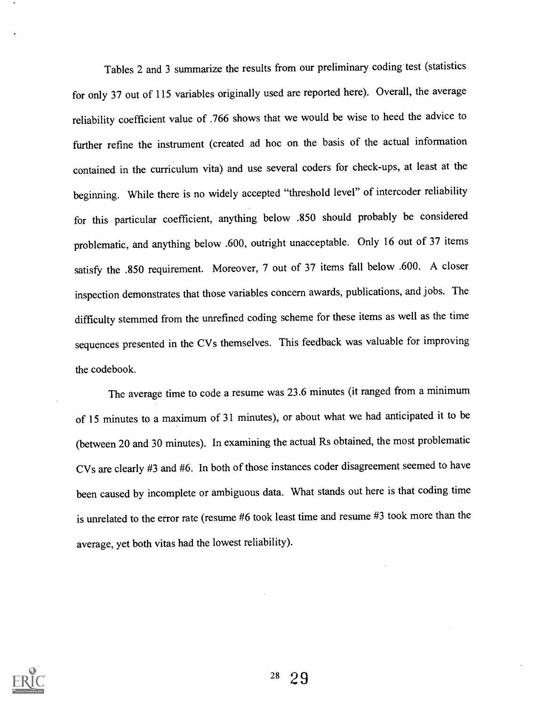Tables 2 and 3 summarize the results from our preliminary coding test (statistics for only 37 out of 115 variables originally used are reported here). Overall, the average reliability coefficient value of .766 shows that we would be wise to heed the advice to further refine the instrument (created ad hoc on the basis of the actual information contained in the curriculum vita) and use several coders for check-ups, at least at the beginning. While there is no widely accepted "threshold level" of intercoder reliability for this particular coefficient, anything below .850 should probably be considered problematic, and anything below .600, outright unacceptable. Only 16 out of 37 items satisfy the .850 requirement. Moreover, 7 out of 37 items fall below .600. A closer inspection demonstrates that those variables concern awards, publications, and jobs. The difficulty stemmed from the unrefined coding scheme for these items as well as the time sequences presented in the CVs themselves. This feedback was valuable for improving the codebook.

The average time to code a resume was 23.6 minutes (it ranged from a minimum of 15 minutes to a maximum of 31 minutes), or about what we had anticipated it to be (between 20 and 30 minutes). In examining the actual Rs obtained, the most problematic CVs are clearly #3 and #6. In both of those instances coder disagreement seemed to have been caused by incomplete or ambiguous data. What stands out here is that coding time is unrelated to the error rate (resume #6 took least time and resume #3 took more than the average, yet both vitas had the lowest reliability).

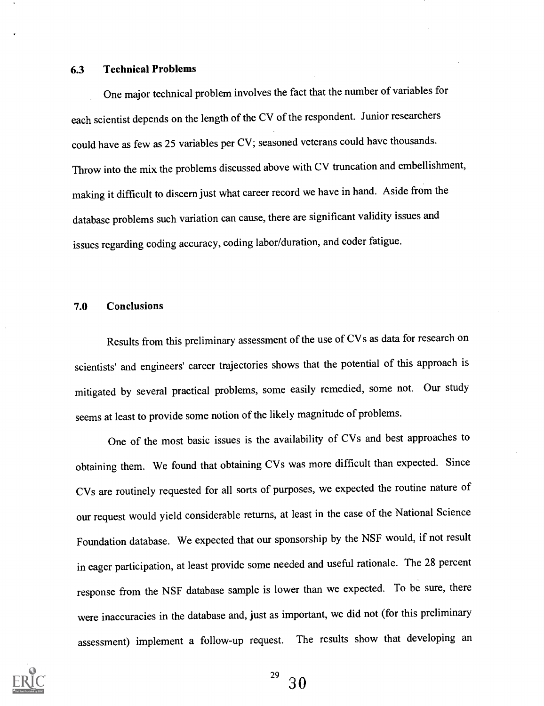#### 6.3 Technical Problems

One major technical problem involves the fact that the number of variables for each scientist depends on the length of the CV of the respondent. Junior researchers could have as few as 25 variables per CV; seasoned veterans could have thousands. Throw into the mix the problems discussed above with CV truncation and embellishment, making it difficult to discern just what career record we have in hand. Aside from the database problems such variation can cause, there are significant validity issues and issues regarding coding accuracy, coding labor/duration, and coder fatigue.

#### 7.0 Conclusions

Results from this preliminary assessment of the use of CVs as data for research on scientists' and engineers' career trajectories shows that the potential of this approach is mitigated by several practical problems, some easily remedied, some not. Our study seems at least to provide some notion of the likely magnitude of problems.

One of the most basic issues is the availability of CVs and best approaches to obtaining them. We found that obtaining CVs was more difficult than expected. Since CVs are routinely requested for all sorts of purposes, we expected the routine nature of our request would yield considerable returns, at least in the case of the National Science Foundation database. We expected that our sponsorship by the NSF would, if not result in eager participation, at least provide some needed and useful rationale. The 28 percent response from the NSF database sample is lower than we expected. To be sure, there were inaccuracies in the database and, just as important, we did not (for this preliminary assessment) implement a follow-up request. The results show that developing an

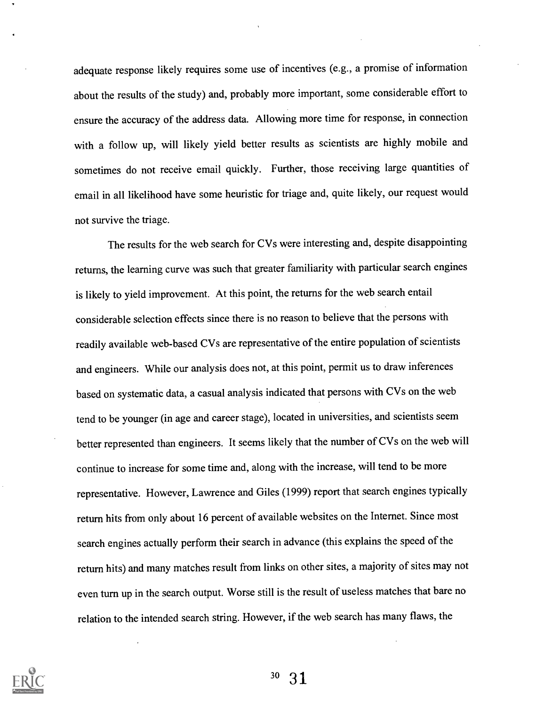adequate response likely requires some use of incentives (e.g., a promise of information about the results of the study) and, probably more important, some considerable effort to ensure the accuracy of the address data. Allowing more time for response, in connection with a follow up, will likely yield better results as scientists are highly mobile and sometimes do not receive email quickly. Further, those receiving large quantities of email in all likelihood have some heuristic for triage and, quite likely, our request would not survive the triage.

The results for the web search for CVs were interesting and, despite disappointing returns, the learning curve was such that greater familiarity with particular search engines is likely to yield improvement. At this point, the returns for the web search entail considerable selection effects since there is no reason to believe that the persons with readily available web-based CVs are representative of the entire population of scientists and engineers. While our analysis does not, at this point, permit us to draw inferences based on systematic data, a casual analysis indicated that persons with CVs on the web tend to be younger (in age and career stage), located in universities, and scientists seem better represented than engineers. It seems likely that the number of CVs on the web will continue to increase for some time and, along with the increase, will tend to be more representative. However, Lawrence and Giles (1999) report that search engines typically return hits from only about 16 percent of available websites on the Internet. Since most search engines actually perform their search in advance (this explains the speed of the return hits) and many matches result from links on other sites, a majority of sites may not even turn up in the search output. Worse still is the result of useless matches that bare no relation to the intended search string. However, if the web search has many flaws, the

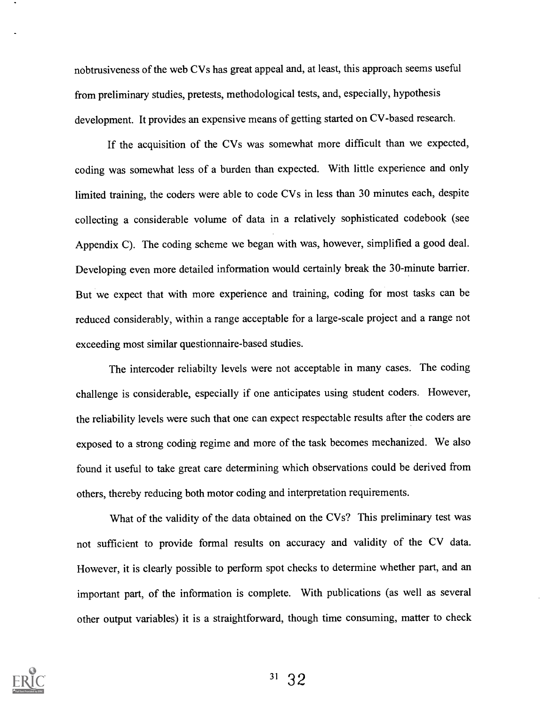nobtrusiveness of the web CVs has great appeal and, at least, this approach seems useful from preliminary studies, pretests, methodological tests, and, especially, hypothesis development. It provides an expensive means of getting started on CV-based research.

If the acquisition of the CVs was somewhat more difficult than we expected, coding was somewhat less of a burden than expected. With little experience and only limited training, the coders were able to code CVs in less than 30 minutes each, despite collecting a considerable volume of data in a relatively sophisticated codebook (see Appendix C). The coding scheme we began with was, however, simplified a good deal. Developing even more detailed information would certainly break the 30-minute barrier. But we expect that with more experience and training, coding for most tasks can be reduced considerably, within a range acceptable for a large-scale project and a range not exceeding most similar questionnaire-based studies.

The intercoder reliabilty levels were not acceptable in many cases. The coding challenge is considerable, especially if one anticipates using student coders. However, the reliability levels were such that one can expect respectable results after the coders are exposed to a strong coding regime and more of the task becomes mechanized. We also found it useful to take great care determining which observations could be derived from others, thereby reducing both motor coding and interpretation requirements.

What of the validity of the data obtained on the CVs? This preliminary test was not sufficient to provide formal results on accuracy and validity of the CV data. However, it is clearly possible to perform spot checks to determine whether part, and an important part, of the information is complete. With publications (as well as several other output variables) it is a straightforward, though time consuming, matter to check

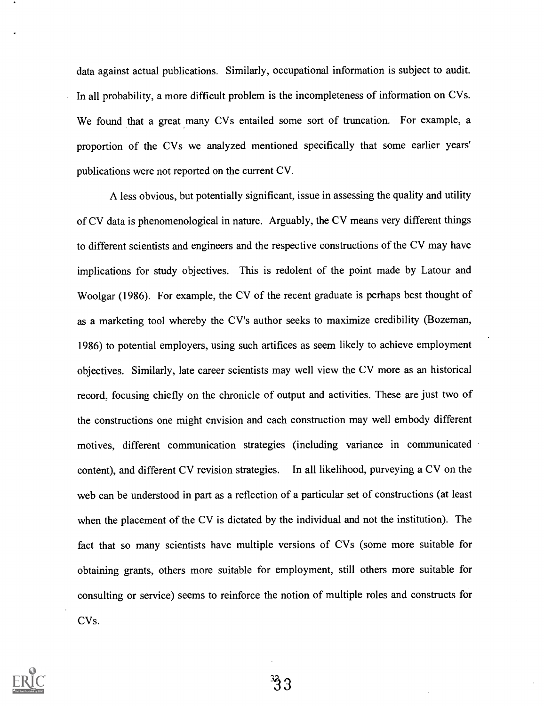data against actual publications. Similarly, occupational information is subject to audit. In all probability, a more difficult problem is the incompleteness of information on CVs. We found that a great many CVs entailed some sort of truncation. For example, a proportion of the CVs we analyzed mentioned specifically that some earlier years' publications were not reported on the current CV.

A less obvious, but potentially significant, issue in assessing the quality and utility of CV data is phenomenological in nature. Arguably, the CV means very different things to different scientists and engineers and the respective constructions of the CV may have implications for study objectives. This is redolent of the point made by Latour and Woolgar (1986). For example, the CV of the recent graduate is perhaps best thought of as a marketing tool whereby the CV's author seeks to maximize credibility (Bozeman, 1986) to potential employers, using such artifices as seem likely to achieve employment objectives. Similarly, late career scientists may well view the CV more as an historical record, focusing chiefly on the chronicle of output and activities. These are just two of the constructions one might envision and each construction may well embody different motives, different communication strategies (including variance in communicated content), and different CV revision strategies. In all likelihood, purveying a CV on the web can be understood in part as a reflection of a particular set of constructions (at least when the placement of the CV is dictated by the individual and not the institution). The fact that so many scientists have multiple versions of CVs (some more suitable for obtaining grants, others more suitable for employment, still others more suitable for consulting or service) seems to reinforce the notion of multiple roles and constructs for CVs.

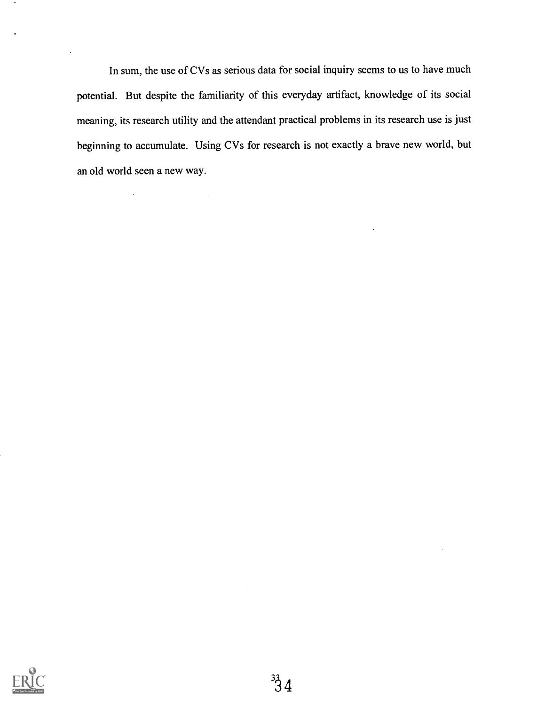In sum, the use of CVs as serious data for social inquiry seems to us to have much potential. But despite the familiarity of this everyday artifact, knowledge of its social meaning, its research utility and the attendant practical problems in its research use is just beginning to accumulate. Using CVs for research is not exactly a brave new world, but an old world seen a new way.

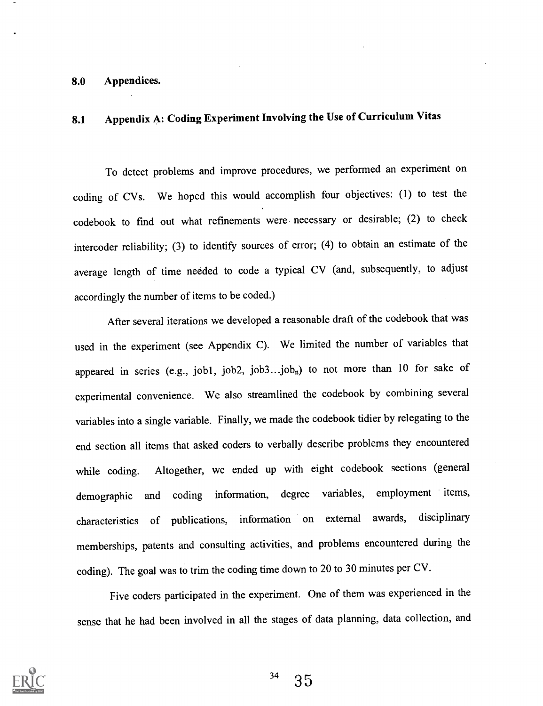#### 8.0 Appendices.

## 8.1 Appendix A: Coding Experiment Involving the Use of Curriculum Vitas

To detect problems and improve procedures, we performed an experiment on coding of CVs. We hoped this would accomplish four objectives: (1) to test the codebook to find out what refinements were necessary or desirable; (2) to check intercoder reliability; (3) to identify sources of error; (4) to obtain an estimate of the average length of time needed to code a typical CV (and, subsequently, to adjust accordingly the number of items to be coded.)

After several iterations we developed a reasonable draft of the codebook that was used in the experiment (see Appendix C). We limited the number of variables that appeared in series (e.g., job1, job2, job3...job<sub>n</sub>) to not more than 10 for sake of experimental convenience. We also streamlined the codebook by combining several variables into a single variable. Finally, we made the codebook tidier by relegating to the end section all items that asked coders to verbally describe problems they encountered while coding. Altogether, we ended up with eight codebook sections (general demographic and coding information, degree variables, employment items, characteristics of publications, information on external awards, disciplinary memberships, patents and consulting activities, and problems encountered during the coding). The goal was to trim the coding time down to 20 to 30 minutes per CV.

Five coders participated in the experiment. One of them was experienced in the sense that he had been involved in all the stages of data planning, data collection, and

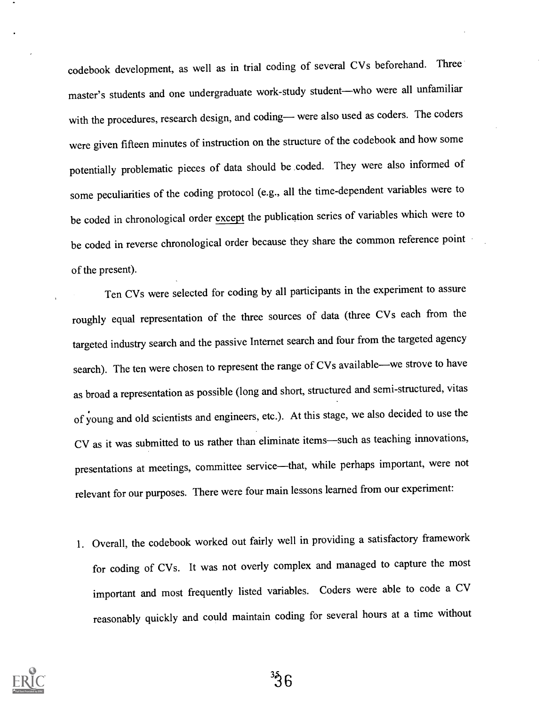codebook development, as well as in trial coding of several CVs beforehand. Three master's students and one undergraduate work-study student-who were all unfamiliar with the procedures, research design, and coding- were also used as coders. The coders were given fifteen minutes of instruction on the structure of the codebook and how some potentially problematic pieces of data should be .coded. They were also informed of some peculiarities of the coding protocol (e.g., all the time-dependent variables were to be coded in chronological order except the publication series of variables which were to be coded in reverse chronological order because they share the common reference point of the present).

Ten CVs were selected for coding by all participants in the experiment to assure roughly equal representation of the three sources of data (three CVs each from the targeted industry search and the passive Internet search and four from the targeted agency search). The ten were chosen to represent the range of CVs available-we strove to have as broad a representation as possible (long and short, structured and semi-structured, vitas of young and old scientists and engineers, etc.). At this stage, we also decided to use the CV as it was submitted to us rather than eliminate items—such as teaching innovations, presentations at meetings, committee service-that, while perhaps important, were not relevant for our purposes. There were four main lessons learned from our experiment:

1. Overall, the codebook worked out fairly well in providing a satisfactory framework for coding of CVs. It was not overly complex and managed to capture the most important and most frequently listed variables. Coders were able to code a CV reasonably quickly and could maintain coding for several hours at a time without

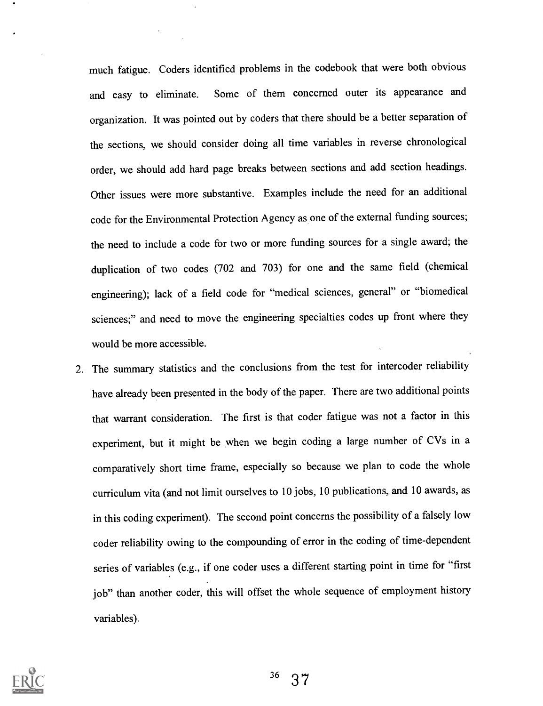much fatigue. Coders identified problems in the codebook that were both obvious and easy to eliminate. Some of them concerned outer its appearance and organization. It was pointed out by coders that there should be a better separation of the sections, we should consider doing all time variables in reverse chronological order, we should add hard page breaks between sections and add section headings. Other issues were more substantive. Examples include the need for an additional code for the Environmental Protection Agency as one of the external funding sources; the need to include a code for two or more funding sources for a single award; the duplication of two codes (702 and 703) for one and the same field (chemical engineering); lack of a field code for "medical sciences, general" or "biomedical sciences;" and need to move the engineering specialties codes up front where they would be more accessible.

2. The summary statistics and the conclusions from the test for intercoder reliability have already been presented in the body of the paper. There are two additional points that warrant consideration. The first is that coder fatigue was not a factor in this experiment, but it might be when we begin coding a large number of CVs in a comparatively short time frame, especially so because we plan to code the whole curriculum vita (and not limit ourselves to 10 jobs, 10 publications, and 10 awards, as in this coding experiment). The second point concerns the possibility of a falsely low coder reliability owing to the compounding of error in the coding of time-dependent series of variables (e.g., if one coder uses a different starting point in time for "first job" than another coder, this will offset the whole sequence of employment history variables).

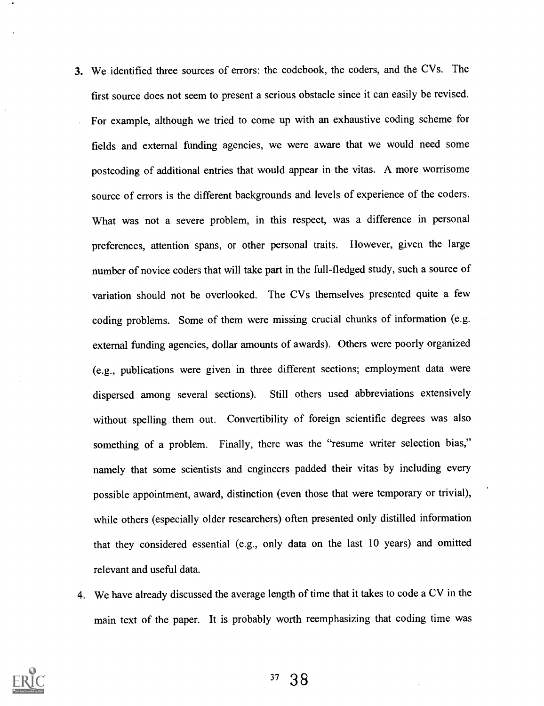- 3. We identified three sources of errors: the codebook, the coders, and the CVs. The first source does not seem to present a serious obstacle since it can easily be revised. For example, although we tried to come up with an exhaustive coding scheme for fields and external funding agencies, we were aware that we would need some postcoding of additional entries that would appear in the vitas. A more worrisome source of errors is the different backgrounds and levels of experience of the coders. What was not a severe problem, in this respect, was a difference in personal preferences, attention spans, or other personal traits. However, given the large number of novice coders that will take part in the full-fledged study, such a source of variation should not be overlooked. The CVs themselves presented quite a few coding problems. Some of them were missing crucial chunks of information (e.g. external funding agencies, dollar amounts of awards). Others were poorly organized (e.g., publications were given in three different sections; employment data were dispersed among several sections). Still others used abbreviations extensively without spelling them out. Convertibility of foreign scientific degrees was also something of a problem. Finally, there was the "resume writer selection bias," namely that some scientists and engineers padded their vitas by including every possible appointment, award, distinction (even those that were temporary or trivial), while others (especially older researchers) often presented only distilled information that they considered essential (e.g., only data on the last 10 years) and omitted relevant and useful data.
- 4. We have already discussed the average length of time that it takes to code a CV in the main text of the paper. It is probably worth reemphasizing that coding time was

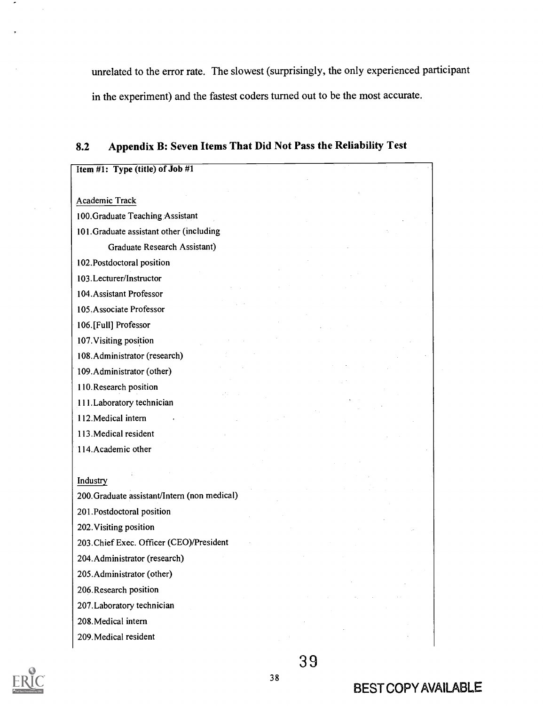unrelated to the error rate. The slowest (surprisingly, the only experienced participant in the experiment) and the fastest coders turned out to be the most accurate.

# Item #1: Type (title) of Job #1 Academic Track 100.Graduate Teaching Assistant 101.Graduate assistant other (including Graduate Research Assistant) 102.Postdoctoral position 103.Lecturer/Instructor 104.Assistant Professor 105.Associate Professor 106.[Full] Professor 107.Visiting position 108.Administrator (research) 109.Administrator (other) 110.Research position 111.Laboratory technician 112.Medical intern 113.Medical resident I14.Academic other Industry 200.Graduate assistant/Intern (non medical) 201.Postdoctoral position 202.Visiting position 203.Chief Exec. Officer (CEO)/President 204.Administrator (research) 205.Administrator (other) 206.Research position 207.Laboratory technician 208.Medical intern 209.Medical resident





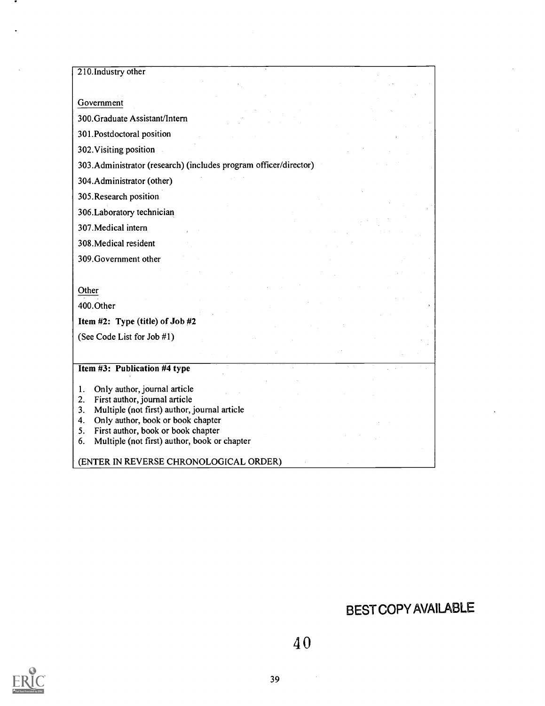#### 210.Industry other

#### Government

300.Graduate Assistant/Intern

301.Postdoctoral position

302.Visiting position

303.Administrator (research) (includes program officer/director)

304.Administrator (other)

305.Research position

306.Laboratory technician

307.Medical intern

308.Medical resident

309.Government other

**Other** 

400.Other

Item #2: Type (title) of Job #2

(See Code List for Job #1)

#### Item #3: Publication #4 type

1. Only author, journal article

- 2. First author, journal article
- 3. Multiple (not first) author, journal article
- 4. Only author, book or book chapter
- 5. First author, book or book chapter
- 6. Multiple (not first) author, book or chapter

(ENTER IN REVERSE CHRONOLOGICAL ORDER)

# BEST COPY AVAILABLE

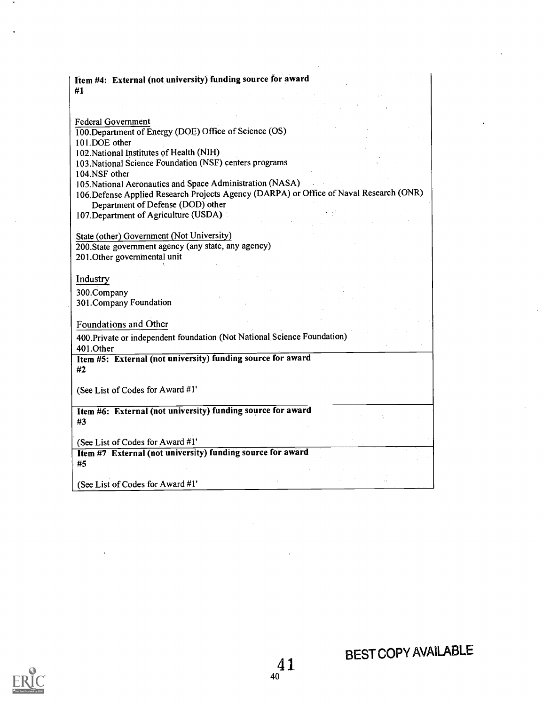| Item #4: External (not university) funding source for award<br>#1                       |  |
|-----------------------------------------------------------------------------------------|--|
|                                                                                         |  |
| <b>Federal Government</b>                                                               |  |
| 100. Department of Energy (DOE) Office of Science (OS)                                  |  |
| 101.DOE other                                                                           |  |
| 102. National Institutes of Health (NIH)                                                |  |
| 103. National Science Foundation (NSF) centers programs                                 |  |
| 104.NSF other                                                                           |  |
| 105. National Aeronautics and Space Administration (NASA)                               |  |
| 106. Defense Applied Research Projects Agency (DARPA) or Office of Naval Research (ONR) |  |
| Department of Defense (DOD) other                                                       |  |
| 107. Department of Agriculture (USDA)                                                   |  |
|                                                                                         |  |
| State (other) Government (Not University)                                               |  |
| 200. State government agency (any state, any agency)                                    |  |
| 201. Other governmental unit                                                            |  |
|                                                                                         |  |
| Industry                                                                                |  |
| 300.Company                                                                             |  |
| 301. Company Foundation                                                                 |  |
|                                                                                         |  |
| Foundations and Other                                                                   |  |
| 400. Private or independent foundation (Not National Science Foundation)                |  |
| 401.Other                                                                               |  |
| Item #5: External (not university) funding source for award                             |  |
| #2                                                                                      |  |
|                                                                                         |  |
| (See List of Codes for Award #1'                                                        |  |
|                                                                                         |  |
| Item #6: External (not university) funding source for award                             |  |
| #3                                                                                      |  |
|                                                                                         |  |
| (See List of Codes for Award #1'                                                        |  |
| Item #7 External (not university) funding source for award                              |  |
| #5                                                                                      |  |
|                                                                                         |  |
| (See List of Codes for Award #1'                                                        |  |
|                                                                                         |  |



 $\blacksquare$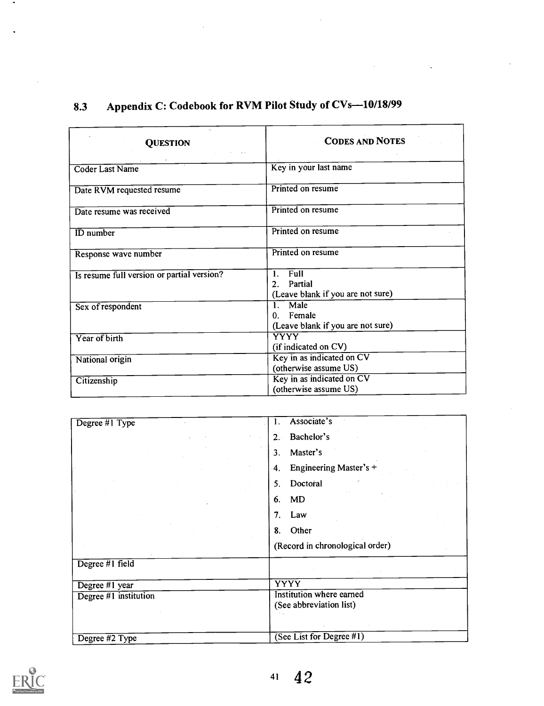| <b>QUESTION</b>                            | <b>CODES AND NOTES</b>                                                |
|--------------------------------------------|-----------------------------------------------------------------------|
| Coder Last Name                            | Key in your last name                                                 |
| Date RVM requested resume                  | Printed on resume                                                     |
| Date resume was received                   | Printed on resume                                                     |
| <b>ID</b> number                           | Printed on resume                                                     |
| Response wave number                       | Printed on resume                                                     |
| Is resume full version or partial version? | Full<br>$1_{-}$<br>Partial<br>2.<br>(Leave blank if you are not sure) |
| Sex of respondent                          | Male<br>1.<br>0. Female<br>(Leave blank if you are not sure)          |
| Year of birth                              | <b>YYYY</b><br>(if indicated on CV)                                   |
| National origin                            | Key in as indicated on CV<br>(otherwise assume US)                    |
| Citizenship                                | Key in as indicated on CV<br>(otherwise assume US)                    |

# 8.3 Appendix C: Codebook for RVM Pilot Study of CVs-10/18/99

| Degree #1 Type        | Associate's<br>1.                                          |
|-----------------------|------------------------------------------------------------|
|                       | Bachelor's<br>2.1                                          |
|                       | Master's<br>$\overline{3}$ .                               |
|                       | Engineering Master's +<br>4.                               |
|                       | Doctoral<br>5.                                             |
|                       | MD<br>6.                                                   |
|                       | Law<br>7.                                                  |
|                       | Other<br>8.                                                |
|                       | (Record in chronological order)                            |
| Degree #1 field       |                                                            |
| Degree #1 year        | YYYY                                                       |
| Degree #1 institution | <b>Institution where earned</b><br>(See abbreviation list) |
|                       |                                                            |
| Degree #2 Type        | (See List for Degree #1)                                   |



 $\bullet$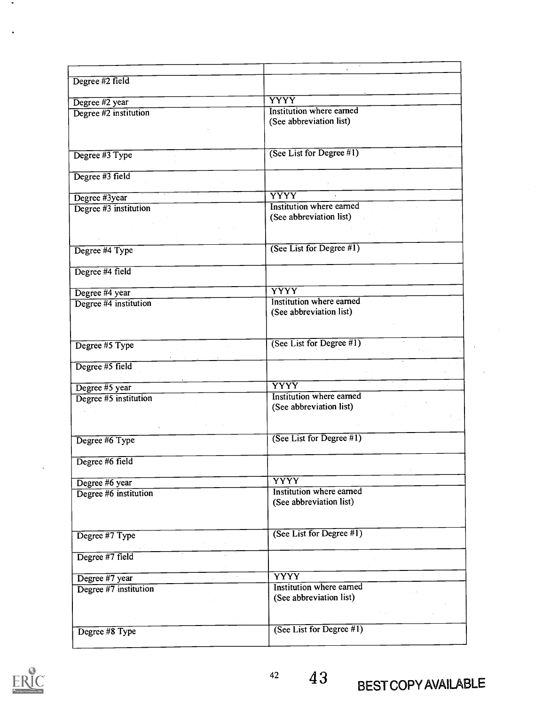| Degree #2 field       |                                 |
|-----------------------|---------------------------------|
|                       |                                 |
| Degree #2 year        | <b>YYYY</b>                     |
| Degree #2 institution | Institution where earned        |
|                       | (See abbreviation list)         |
|                       |                                 |
|                       | (See List for Degree #1)        |
| Degree #3 Type        |                                 |
| Degree #3 field       |                                 |
|                       |                                 |
| Degree #3year         | $\overline{YY}YY$               |
| Degree #3 institution | <b>Institution where earned</b> |
|                       | (See abbreviation list)         |
|                       |                                 |
| Degree #4 Type        | (See List for Degree #1)        |
|                       |                                 |
| Degree #4 field       |                                 |
|                       |                                 |
| Degree #4 year        | <b>YYYY</b>                     |
| Degree #4 institution | Institution where earned        |
|                       | (See abbreviation list)         |
|                       |                                 |
|                       | (See List for Degree #1)        |
| Degree #5 Type        |                                 |
| Degree #5 field       |                                 |
|                       |                                 |
| Degree #5 year        | <b>YYYY</b>                     |
| Degree #5 institution | <b>Institution where earned</b> |
|                       | (See abbreviation list)         |
|                       |                                 |
| Degree #6 Type        | (See List for Degree #1)        |
|                       |                                 |
| Degree #6 field       |                                 |
|                       |                                 |
| Degree #6 year        | <b>YYYY</b>                     |
| Degree #6 institution | <b>Institution where earned</b> |
|                       | (See abbreviation list)         |
|                       |                                 |
| Degree #7 Type        | (See List for Degree #1)        |
|                       |                                 |
| Degree #7 field       |                                 |
|                       |                                 |
| Degree #7 year        | <b>YYYY</b>                     |
| Degree #7 institution | <b>Institution where earned</b> |
|                       | (See abbreviation list)         |
|                       |                                 |
| Degree #8 Type        | (See List for Degree #1)        |
|                       |                                 |



 $\bullet$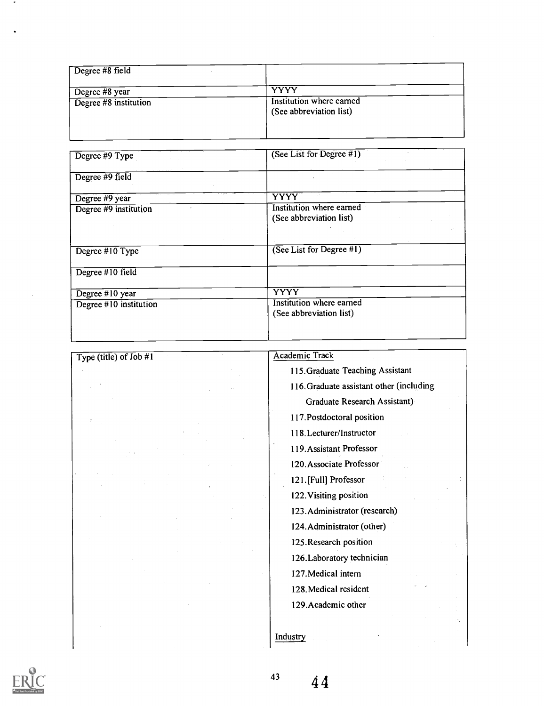| $\sqrt{}$ Degree #8 field |                                                     |
|---------------------------|-----------------------------------------------------|
| Degree #8 year            | <b>YYYY</b>                                         |
| Degree #8 institution     | Institution where earned<br>(See abbreviation list) |

| Degree #9 Type         | (See List for Degree #1)                            |
|------------------------|-----------------------------------------------------|
| Degree #9 field        |                                                     |
| Degree #9 year         | <b>YYYY</b>                                         |
| Degree #9 institution  | Institution where earned<br>(See abbreviation list) |
| Degree $#10$ Type      | (See List for Degree #1)                            |
| Degree $\#10$ field    |                                                     |
| Degree #10 year        | YYYY                                                |
| Degree #10 institution | Institution where earned<br>(See abbreviation list) |

| Type (title) of Job #1 | <b>Academic Track</b>                    |
|------------------------|------------------------------------------|
|                        | 115. Graduate Teaching Assistant         |
|                        | 116. Graduate assistant other (including |
|                        | Graduate Research Assistant)             |
|                        | 117. Postdoctoral position               |
|                        | 118. Lecturer/Instructor                 |
|                        | 119. Assistant Professor                 |
|                        | 120. Associate Professor                 |
|                        | 121.[Full] Professor                     |
|                        | 122. Visiting position                   |
|                        | 123. Administrator (research)            |
|                        | 124. Administrator (other)               |
|                        | 125. Research position                   |
|                        | 126. Laboratory technician               |
|                        | 127. Medical intern                      |
|                        | 128. Medical resident                    |
|                        | 129. Academic other                      |
|                        |                                          |
|                        | Industry                                 |

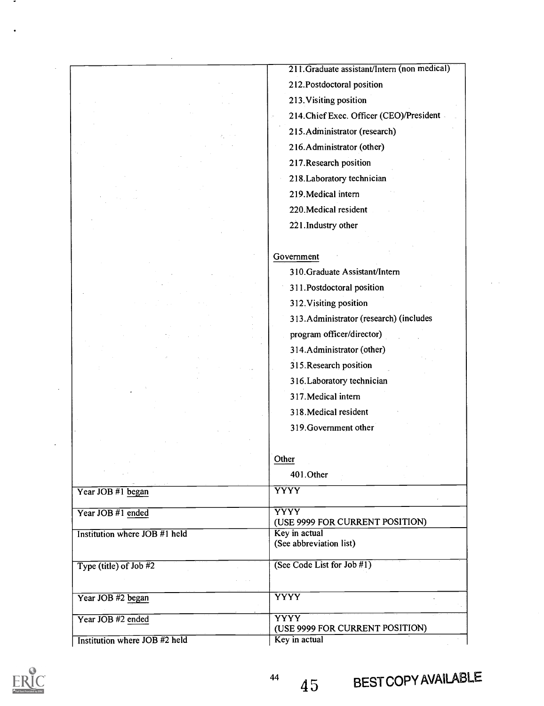|                               | 211. Graduate assistant/Intern (non medical)         |
|-------------------------------|------------------------------------------------------|
|                               | 212. Postdoctoral position                           |
|                               | 213. Visiting position                               |
|                               | 214. Chief Exec. Officer (CEO)/President             |
|                               | 215. Administrator (research)                        |
|                               | 216. Administrator (other)                           |
|                               | 217. Research position                               |
|                               | 218. Laboratory technician                           |
|                               | 219. Medical intern                                  |
|                               | 220. Medical resident                                |
|                               | 221. Industry other                                  |
|                               |                                                      |
|                               | Government                                           |
|                               | 310. Graduate Assistant/Intern                       |
|                               | 311. Postdoctoral position                           |
|                               | 312. Visiting position                               |
|                               | 313. Administrator (research) (includes              |
|                               | program officer/director)                            |
|                               | 314. Administrator (other)                           |
|                               | 315. Research position                               |
|                               | 316. Laboratory technician                           |
|                               | 317. Medical intern                                  |
|                               | 318. Medical resident                                |
|                               | 319. Government other                                |
|                               |                                                      |
|                               | Other                                                |
|                               | 401.Other                                            |
| Year JOB #1 began             | <b>YYYY</b>                                          |
|                               |                                                      |
| Year JOB #1 ended             | $\overline{YYYY}$<br>(USE 9999 FOR CURRENT POSITION) |
| Institution where JOB #1 held | Key in actual                                        |
|                               | (See abbreviation list)                              |
| Type (title) of Job $#2$      | (See Code List for Job #1)                           |
|                               |                                                      |
| Year JOB #2 began             | <b>YYYY</b>                                          |
|                               |                                                      |
| Year JOB #2 ended             | <b>YYYY</b><br>(USE 9999 FOR CURRENT POSITION)       |
| Institution where JOB #2 held | Key in actual                                        |



 $\overline{\phantom{a}}$ 

 $\hat{\mathcal{A}}$ 

 $\bar{\phantom{a}}$ 

 $\overline{\phantom{a}}$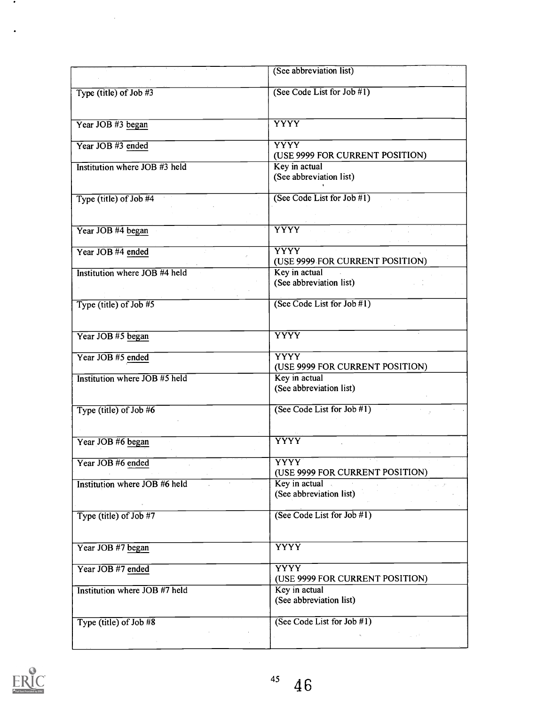|                               | (See abbreviation list)                                                                  |
|-------------------------------|------------------------------------------------------------------------------------------|
| Type (title) of Job #3        | (See Code List for Job #1)                                                               |
| Year JOB #3 began             | <b>YYYY</b>                                                                              |
| Year JOB #3 ended             | <b>YYYY</b><br>(USE 9999 FOR CURRENT POSITION)                                           |
| Institution where JOB #3 held | Key in actual<br>(See abbreviation list)                                                 |
| Type (title) of Job #4        | (See Code List for Job $#1$ )                                                            |
| Year JOB #4 began             | $\overline{YYYY}$<br><b>Contract Contract</b>                                            |
| Year JOB #4 ended             | $\overline{Y} \overline{Y} \overline{Y} \overline{Y}$<br>(USE 9999 FOR CURRENT POSITION) |
| Institution where JOB #4 held | Key in actual                                                                            |
|                               | (See abbreviation list)                                                                  |
| Type (title) of $Job$ #5      | (See Code List for Job #1)                                                               |
| Year JOB #5 began             | <b>YYYY</b>                                                                              |
| Year JOB #5 ended             | <b>YYYY</b><br>(USE 9999 FOR CURRENT POSITION)                                           |
| Institution where JOB #5 held | Key in actual<br>(See abbreviation list)                                                 |
| Type (title) of Job #6        | (See Code List for Job #1)                                                               |
| Year JOB #6 began             | <b>YYYY</b>                                                                              |
| Year JOB #6 ended             | <b>YYYY</b><br>(USE 9999 FOR CURRENT POSITION)                                           |
| Institution where JOB #6 held | Key in actual<br>(See abbreviation list)                                                 |
| Type (title) of Job #7        | (See Code List for Job #1)                                                               |
| Year JOB #7 began             | <b>YYYY</b>                                                                              |
| Year JOB #7 ended             | <b>YYYY</b><br>(USE 9999 FOR CURRENT POSITION)                                           |
| Institution where JOB #7 held | Key in actual<br>(See abbreviation list)                                                 |
| Type (title) of Job #8        | (See Code List for Job #1)                                                               |
|                               |                                                                                          |



 $\bullet$ 

 $\overline{\phantom{a}}$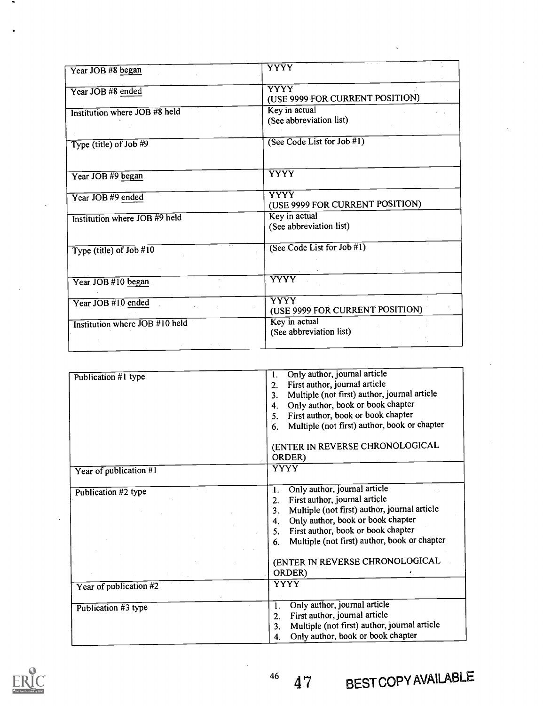|                                | <b>YYYY</b>                                           |
|--------------------------------|-------------------------------------------------------|
| Year JOB #8 began              |                                                       |
|                                |                                                       |
| Year JOB #8 ended              | <b>YYYY</b>                                           |
|                                | (USE 9999 FOR CURRENT POSITION)                       |
| Institution where JOB #8 held  | Key in actual                                         |
|                                | (See abbreviation list)                               |
|                                |                                                       |
|                                | (See Code List for Job #1)                            |
| Type (title) of Job #9         |                                                       |
|                                |                                                       |
|                                |                                                       |
| Year JOB #9 began              | $\overline{Y} \overline{Y} \overline{Y} \overline{Y}$ |
|                                |                                                       |
| Year JOB #9 ended              | <b>YYYY</b>                                           |
|                                | (USE 9999 FOR CURRENT POSITION)                       |
|                                | Key in actual                                         |
| Institution where JOB #9 held  | (See abbreviation list)                               |
|                                |                                                       |
|                                |                                                       |
| Type $(title)$ of Job #10      | (See Code List for Job #1)                            |
|                                |                                                       |
|                                |                                                       |
| Year JOB #10 began             | <b>YYYY</b>                                           |
|                                |                                                       |
|                                | YYYY                                                  |
| Year JOB #10 ended             | (USE 9999 FOR CURRENT POSITION)                       |
|                                |                                                       |
| Institution where JOB #10 held | Key in actual                                         |
|                                | (See abbreviation list)                               |
|                                |                                                       |

| Publication $#1$ type  | Only author, journal article<br>1.<br>First author, journal article<br>$\overline{2}$ .<br>Multiple (not first) author, journal article<br>3 <sub>1</sub><br>Only author, book or book chapter<br>$\boldsymbol{4}$ .<br>First author, book or book chapter<br>5.<br>Multiple (not first) author, book or chapter<br>6.<br>(ENTER IN REVERSE CHRONOLOGICAL |
|------------------------|-----------------------------------------------------------------------------------------------------------------------------------------------------------------------------------------------------------------------------------------------------------------------------------------------------------------------------------------------------------|
|                        | ORDER)                                                                                                                                                                                                                                                                                                                                                    |
| Year of publication #1 | $\overline{Y} \overline{Y} \overline{Y} \overline{Y}$                                                                                                                                                                                                                                                                                                     |
| Publication #2 type    | Only author, journal article<br>First author, journal article<br>2.<br>Multiple (not first) author, journal article<br>3.<br>Only author, book or book chapter<br>4.<br>First author, book or book chapter<br>5.<br>Multiple (not first) author, book or chapter<br>6.                                                                                    |
|                        | (ENTER IN REVERSE CHRONOLOGICAL<br>ORDER)                                                                                                                                                                                                                                                                                                                 |
| Year of publication #2 | YYYY                                                                                                                                                                                                                                                                                                                                                      |
| Publication #3 type    | Only author, journal article<br>1.<br>First author, journal article<br>2.<br>Multiple (not first) author, journal article<br>3 <sub>1</sub><br>Only author, book or book chapter<br>4.                                                                                                                                                                    |

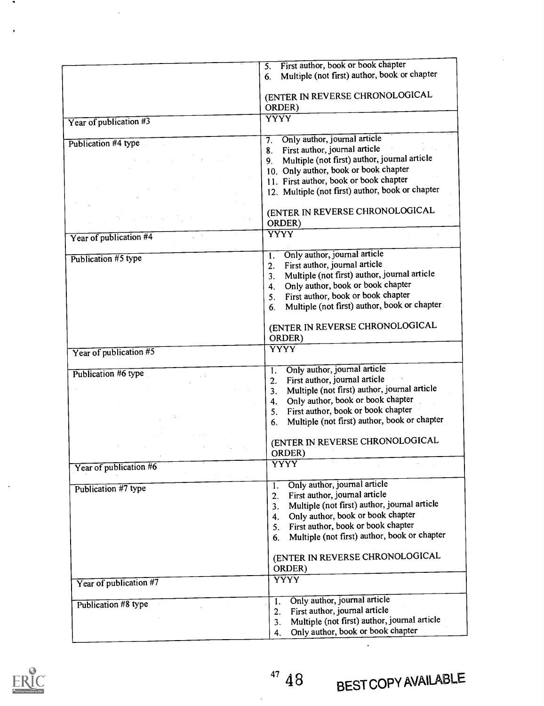|                          | First author, book or book chapter<br>5.<br>Multiple (not first) author, book or chapter |
|--------------------------|------------------------------------------------------------------------------------------|
|                          | 6.                                                                                       |
|                          | (ENTER IN REVERSE CHRONOLOGICAL<br>ORDER)                                                |
| Year of publication #3   | $\overline{\rm Y} \overline{\rm Y} \overline{\rm Y}$                                     |
|                          | Only author, journal article<br>7.                                                       |
| Publication #4 type      | First author, journal article<br>8.                                                      |
|                          | Multiple (not first) author, journal article<br>9.                                       |
|                          | 10. Only author, book or book chapter                                                    |
|                          | 11. First author, book or book chapter                                                   |
|                          | 12. Multiple (not first) author, book or chapter                                         |
|                          |                                                                                          |
|                          | (ENTER IN REVERSE CHRONOLOGICAL                                                          |
|                          | ORDER)                                                                                   |
|                          | <b>YYYY</b>                                                                              |
| Year of publication #4   |                                                                                          |
| Publication #5 type      | Only author, journal article<br>1.                                                       |
|                          | First author, journal article<br>2.                                                      |
|                          | Multiple (not first) author, journal article<br>3.                                       |
|                          | Only author, book or book chapter<br>4.                                                  |
|                          | First author, book or book chapter<br>5.                                                 |
|                          | Multiple (not first) author, book or chapter.<br>6.                                      |
|                          | (ENTER IN REVERSE CHRONOLOGICAL                                                          |
|                          | ORDER)                                                                                   |
|                          | $\overline{YYYY}$                                                                        |
| Year of publication #5   |                                                                                          |
|                          | Only author, journal article<br>1.                                                       |
| Publication #6 type      | First author, journal article<br>2.                                                      |
|                          | Multiple (not first) author, journal article<br>3.                                       |
|                          | Only author, book or book chapter<br>4.                                                  |
|                          | First author, book or book chapter<br>5.                                                 |
|                          | Multiple (not first) author, book or chapter<br>6.                                       |
|                          |                                                                                          |
|                          | (ENTER IN REVERSE CHRONOLOGICAL                                                          |
|                          | ORDER)                                                                                   |
| Year of publication #6   | $\overline{\mathbf{YYYY}}$                                                               |
|                          |                                                                                          |
| Publication #7 type      | Only author, journal article<br>1.                                                       |
|                          | First author, journal article<br>2.                                                      |
|                          | Multiple (not first) author, journal article<br>3.                                       |
|                          | Only author, book or book chapter<br>4.                                                  |
|                          | First author, book or book chapter<br>5.                                                 |
|                          | Multiple (not first) author, book or chapter<br>6.                                       |
|                          | (ENTER IN REVERSE CHRONOLOGICAL                                                          |
|                          | ORDER)                                                                                   |
| Year of publication $#7$ | <b>YYYY</b>                                                                              |
|                          |                                                                                          |
| Publication #8 type      | Only author, journal article<br>1.                                                       |
|                          | First author, journal article<br>2.                                                      |
|                          | Multiple (not first) author, journal article<br>3.                                       |
|                          | Only author, book or book chapter<br>4.                                                  |



 $\blacksquare$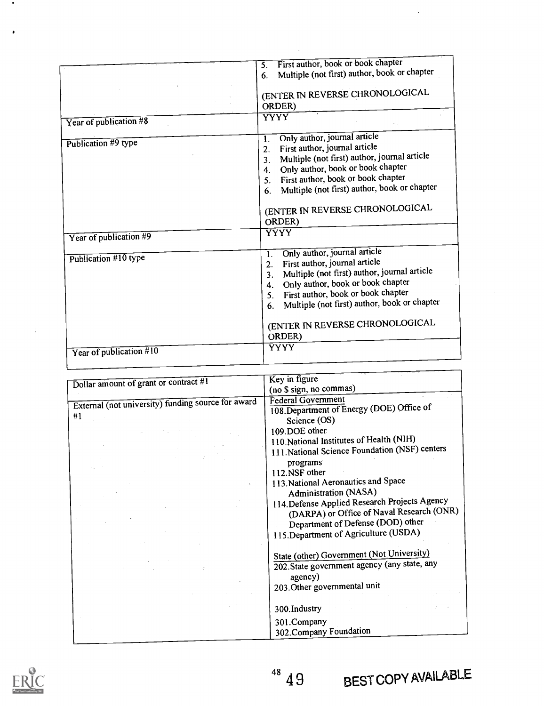|                         | First author, book or book chapter                                                                                                                                                                                                                                                         |
|-------------------------|--------------------------------------------------------------------------------------------------------------------------------------------------------------------------------------------------------------------------------------------------------------------------------------------|
|                         | 5.<br>Multiple (not first) author, book or chapter<br>6.                                                                                                                                                                                                                                   |
|                         | (ENTER IN REVERSE CHRONOLOGICAL<br>ORDER)                                                                                                                                                                                                                                                  |
| Year of publication #8  | YYYY                                                                                                                                                                                                                                                                                       |
| Publication #9 type     | Only author, journal article<br>1.<br>First author, journal article<br>$\overline{2}$ .<br>Multiple (not first) author, journal article<br>3.<br>Only author, book or book chapter<br>4.<br>First author, book or book chapter<br>5.<br>Multiple (not first) author, book or chapter<br>6. |
|                         | (ENTER IN REVERSE CHRONOLOGICAL<br><b>ORDER</b> )                                                                                                                                                                                                                                          |
| Year of publication #9  | YYYY                                                                                                                                                                                                                                                                                       |
| Publication #10 type    | Only author, journal article<br>$\mathbf{1}$ .<br>First author, journal article<br>2.<br>Multiple (not first) author, journal article<br>3.<br>Only author, book or book chapter<br>4.<br>First author, book or book chapter<br>5.<br>Multiple (not first) author, book or chapter<br>6.   |
|                         | (ENTER IN REVERSE CHRONOLOGICAL<br><b>ORDER</b> )                                                                                                                                                                                                                                          |
| Year of publication #10 | $\overline{\mathbf{Y}\mathbf{Y}}\mathbf{Y}\mathbf{Y}$                                                                                                                                                                                                                                      |

| Dollar amount of grant or contract #1              | Key in figure                                  |
|----------------------------------------------------|------------------------------------------------|
|                                                    | (no \$ sign, no commas)                        |
| External (not university) funding source for award | <b>Federal Government</b>                      |
| #1                                                 | 108. Department of Energy (DOE) Office of      |
|                                                    | Science (OS)                                   |
|                                                    | 109.DOE other                                  |
|                                                    | 110. National Institutes of Health (NIH)       |
|                                                    | 111. National Science Foundation (NSF) centers |
|                                                    | programs                                       |
|                                                    | 112.NSF other                                  |
|                                                    | 113. National Aeronautics and Space            |
|                                                    | Administration (NASA)                          |
|                                                    | 114. Defense Applied Research Projects Agency  |
|                                                    | (DARPA) or Office of Naval Research (ONR)      |
|                                                    | Department of Defense (DOD) other              |
|                                                    | 115. Department of Agriculture (USDA)          |
|                                                    |                                                |
|                                                    | State (other) Government (Not University)      |
|                                                    | 202. State government agency (any state, any   |
|                                                    | agency)                                        |
|                                                    | 203. Other governmental unit                   |
|                                                    |                                                |
|                                                    |                                                |
|                                                    | 300.Industry                                   |
|                                                    | 301.Company                                    |
|                                                    | 302. Company Foundation                        |

 $4849$ 



 $\frac{1}{3}$ 

 $\blacksquare$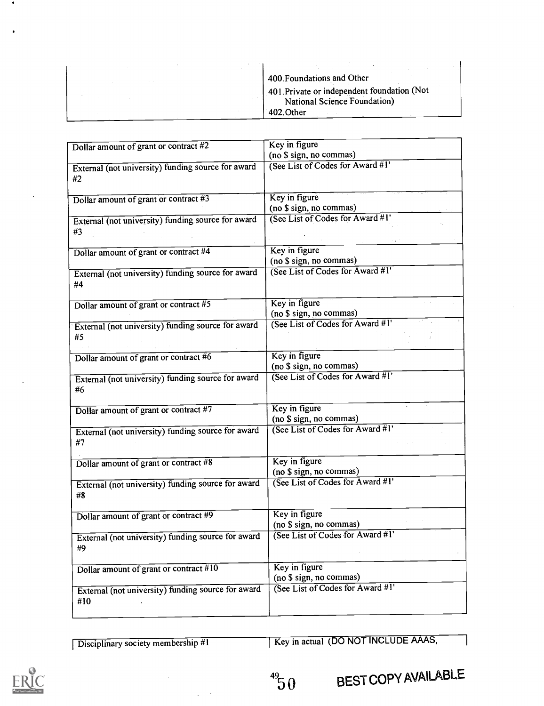| 400. Foundations and Other                                                          |
|-------------------------------------------------------------------------------------|
| 401. Private or independent foundation (Not<br><b>National Science Foundation</b> ) |
| 402. Other                                                                          |

| Dollar amount of grant or contract #2              | Key in figure                                               |  |
|----------------------------------------------------|-------------------------------------------------------------|--|
|                                                    | (no \$ sign, no commas)                                     |  |
| External (not university) funding source for award | (See List of Codes for Award #1'                            |  |
| #2                                                 |                                                             |  |
|                                                    |                                                             |  |
| Dollar amount of grant or contract #3              | Key in figure                                               |  |
|                                                    | (no \$ sign, no commas)                                     |  |
| External (not university) funding source for award | (See List of Codes for Award #1'                            |  |
| #3                                                 |                                                             |  |
|                                                    |                                                             |  |
| Dollar amount of grant or contract #4              | Key in figure                                               |  |
|                                                    | (no \$ sign, no commas)                                     |  |
| External (not university) funding source for award | (See List of Codes for Award #1'                            |  |
| #4                                                 |                                                             |  |
|                                                    |                                                             |  |
| Dollar amount of grant or contract #5              | Key in figure                                               |  |
|                                                    | (no \$ sign, no commas)<br>(See List of Codes for Award #I' |  |
| External (not university) funding source for award |                                                             |  |
| #5                                                 |                                                             |  |
|                                                    | Key in figure                                               |  |
| Dollar amount of grant or contract #6              | (no \$ sign, no commas)                                     |  |
|                                                    | (See List of Codes for Award #1'                            |  |
| External (not university) funding source for award |                                                             |  |
| #6                                                 |                                                             |  |
| Dollar amount of grant or contract #7              | Key in figure                                               |  |
|                                                    | (no \$ sign, no commas)                                     |  |
| External (not university) funding source for award | (See List of Codes for Award #1'                            |  |
| #7                                                 |                                                             |  |
|                                                    |                                                             |  |
| Dollar amount of grant or contract #8              | Key in figure                                               |  |
|                                                    | (no \$ sign, no commas)                                     |  |
| External (not university) funding source for award | (See List of Codes for Award #1'                            |  |
| #8                                                 |                                                             |  |
|                                                    |                                                             |  |
| Dollar amount of grant or contract #9              | Key in figure                                               |  |
|                                                    | (no \$ sign, no commas)                                     |  |
| External (not university) funding source for award | (See List of Codes for Award #1'                            |  |
| #9                                                 |                                                             |  |
|                                                    |                                                             |  |
| Dollar amount of grant or contract #10             | Key in figure                                               |  |
|                                                    | (no \$ sign, no commas)                                     |  |
| External (not university) funding source for award | (See List of Codes for Award #1'                            |  |
| #10                                                |                                                             |  |
|                                                    |                                                             |  |

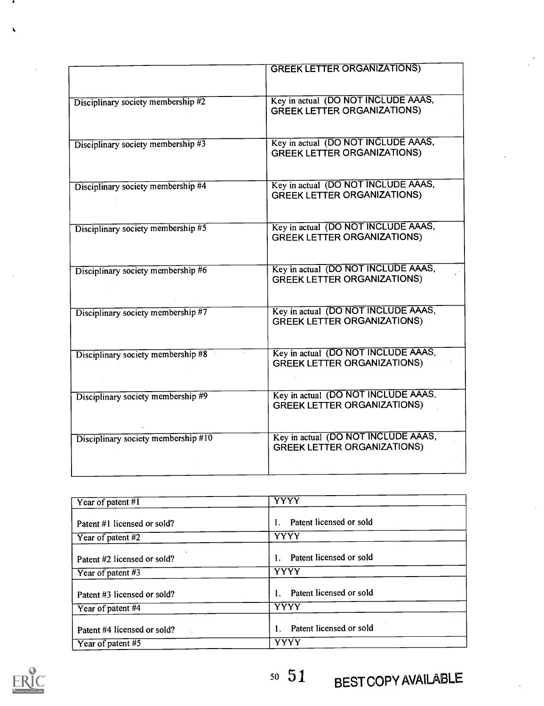|                                     | <b>GREEK LETTER ORGANIZATIONS)</b>                                        |
|-------------------------------------|---------------------------------------------------------------------------|
| Disciplinary society membership #2  | Key in actual (DO NOT INCLUDE AAAS,<br><b>GREEK LETTER ORGANIZATIONS)</b> |
| Disciplinary society membership #3  | Key in actual (DO NOT INCLUDE AAAS,<br><b>GREEK LETTER ORGANIZATIONS)</b> |
| Disciplinary society membership #4  | Key in actual (DO NOT INCLUDE AAAS,<br><b>GREEK LETTER ORGANIZATIONS)</b> |
| Disciplinary society membership #5  | Key in actual (DO NOT INCLUDE AAAS,<br><b>GREEK LETTER ORGANIZATIONS)</b> |
| Disciplinary society membership #6  | Key in actual (DO NOT INCLUDE AAAS,<br><b>GREEK LETTER ORGANIZATIONS)</b> |
| Disciplinary society membership #7  | Key in actual (DO NOT INCLUDE AAAS,<br><b>GREEK LETTER ORGANIZATIONS)</b> |
| Disciplinary society membership #8  | Key in actual (DO NOT INCLUDE AAAS,<br><b>GREEK LETTER ORGANIZATIONS)</b> |
| Disciplinary society membership #9  | Key in actual (DO NOT INCLUDE AAAS,<br><b>GREEK LETTER ORGANIZATIONS)</b> |
| Disciplinary society membership #10 | Key in actual (DO NOT INCLUDE AAAS,<br><b>GREEK LETTER ORGANIZATIONS)</b> |

| Year of patent #1                            | YYYY                    |
|----------------------------------------------|-------------------------|
| Patent #1 licensed or sold?                  | Patent licensed or sold |
| Year of patent #2                            | YYYY                    |
| Patent #2 licensed or sold?                  | Patent licensed or sold |
| Year of patent $#3$                          | <b>YYYY</b>             |
| Patent #3 licensed or sold?                  | Patent licensed or sold |
| Year of patent #4                            | YYYY                    |
| $\sim$ $\sim$<br>Patent #4 licensed or sold? | Patent licensed or sold |
| Year of patent $#5$                          | YYYY                    |



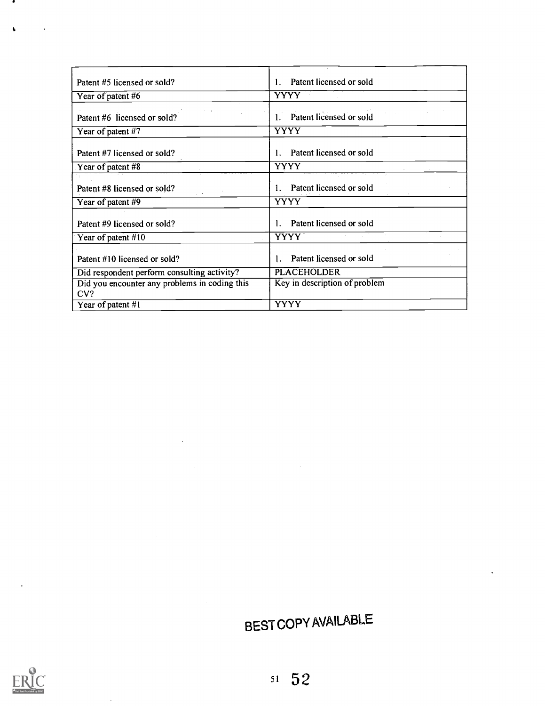| Patent #5 licensed or sold?                          | Patent licensed or sold                 |  |
|------------------------------------------------------|-----------------------------------------|--|
| Year of patent #6                                    | <b>YYYY</b>                             |  |
| Patent #6 licensed or sold?                          | Patent licensed or sold<br>$\mathbf{L}$ |  |
| Year of patent #7                                    | <b>YYYY</b>                             |  |
| Patent #7 licensed or sold?                          | Patent licensed or sold                 |  |
| Year of patent #8                                    | <b>YYYY</b>                             |  |
| Patent #8 licensed or sold?                          | 1. Patent licensed or sold              |  |
| Year of patent #9                                    | <b>YYYY</b>                             |  |
| Patent #9 licensed or sold?                          | Patent licensed or sold                 |  |
| the control of the con-<br>Year of patent #10        | <b>YYYY</b>                             |  |
| Patent #10 licensed or sold?                         | Patent licensed or sold                 |  |
| Did respondent perform consulting activity?          | <b>PLACEHOLDER</b>                      |  |
| Did you encounter any problems in coding this<br>CV? | Key in description of problem           |  |
| Year of patent #1                                    | YYYY                                    |  |

# BEST COPY AVAILABLE



 $\ddot{\phantom{1}}$ 

 $\cdot$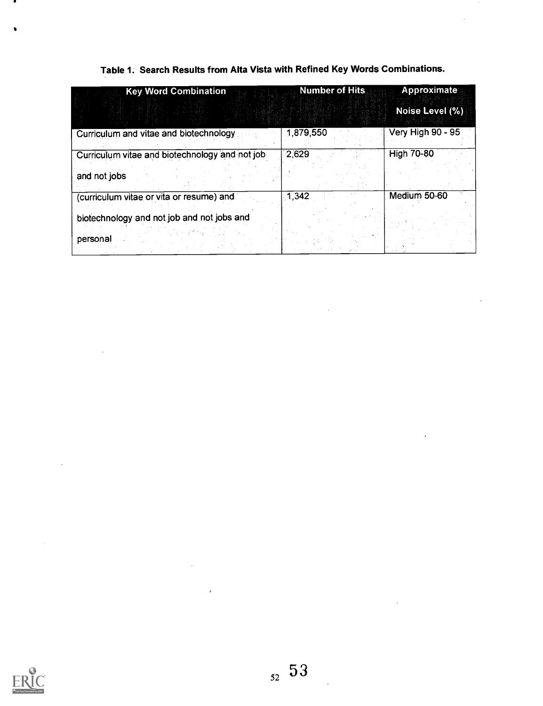# Table 1. Search Results from Alta Vista with Refined Key Words Combinations.

| <b>Key Word Combination</b>                    | <b>Number of Hits</b> | Approximate              |
|------------------------------------------------|-----------------------|--------------------------|
|                                                |                       | Noise Level (%)          |
| Curriculum and vitae and biotechnology         | 1,879,550             | <b>Very High 90 - 95</b> |
| Curriculum vitae and biotechnology and not job | 2,629                 | <b>High 70-80</b>        |
| and not jobs                                   |                       |                          |
| (curriculum vitae or vita or resume) and       | 1,342                 | Medium 50-60             |
| biotechnology and not job and not jobs and     |                       |                          |
| personal                                       |                       |                          |

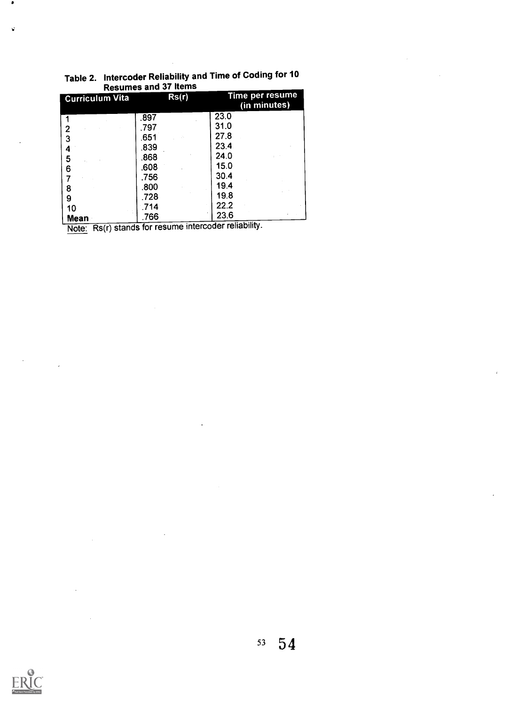| <b>Resumes and 37 Items</b> |       |                                 |
|-----------------------------|-------|---------------------------------|
| <b>Curriculum Vita</b>      | Rs(r) | Time per resume<br>(in minutes) |
|                             | .897  | 23.0                            |
| 2                           | .797  | 31.0                            |
| 3                           | .651  | 27.8                            |
| 4                           | .839  | 23.4                            |
| 5                           | .868  | 24.0                            |
| 6                           | .608  | 15.0                            |
|                             | .756  | 30.4                            |
| 8                           | .800  | 19.4                            |
| 9                           | .728  | 19.8                            |
| 10                          | .714  | 22.2                            |
| Mean                        | .766  | 23.6<br>$1 - 1 - 1 - 1$         |

| Table 2. Intercoder Reliability and Time of Coding for 10 |
|-----------------------------------------------------------|
| <b>Resumes and 37 Items</b>                               |

 $\hat{\boldsymbol{\beta}}$ 

Note: Rs(r) stands for resume intercoder reliability.



 $\bar{\bar{z}}$ 

 $\bar{z}$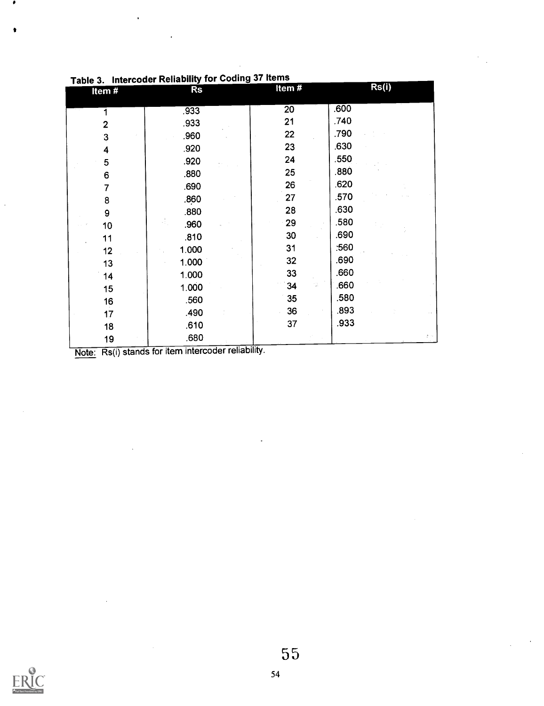| Table 3.<br>Intercoder Reliability for Coding of Relies |                  |                 |                             |
|---------------------------------------------------------|------------------|-----------------|-----------------------------|
| Item#                                                   | <b>Rs</b>        | Item $#$        | $\overline{\mathsf{Rs}}(i)$ |
|                                                         | .933             | $\overline{20}$ | .600                        |
| $\overline{2}$                                          | .933             | 21              | .740                        |
| 3                                                       | .960             | 22              | .790                        |
| 4                                                       | .920             | 23              | .630                        |
| 5                                                       | .920             | 24              | .550                        |
| 6                                                       | .880             | 25              | .880                        |
| 7                                                       | .690             | 26              | .620                        |
| 8                                                       | .860             | 27              | .570                        |
| $\boldsymbol{9}$                                        | .880             | 28              | .630                        |
| 10                                                      | .960             | 29              | .580                        |
| 11                                                      | .810             | 30              | .690                        |
| 12                                                      | 1.000            | 31              | :560                        |
| 13                                                      | 1.000            | 32              | .690                        |
| 14                                                      | 1.000            | 33              | .660                        |
| 15                                                      | 1.000            | 34              | .660                        |
| 16                                                      | .560             | 35              | .580                        |
| 17                                                      | .490             | 36              | .893                        |
| 18                                                      | .610             | 37              | .933                        |
| 19                                                      | .680<br>n – Link |                 |                             |

Table 3. Intercoder Reliability for Coding 37 Items

Note: Rs(i) stands for item intercoder reliability.



**I**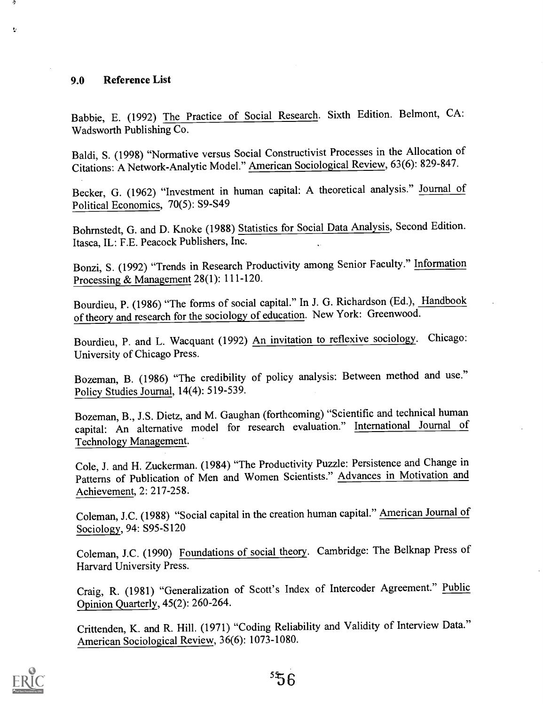#### 9.0 Reference List

私

Babbie, E. (1992) The Practice of Social Research. Sixth Edition. Belmont, CA: Wadsworth Publishing Co.

Baldi, S. (1998) "Normative versus Social Constructivist Processes in the Allocation of Citations: A Network-Analytic Model." American Sociological Review, 63(6): 829-847.

Becker, G. (1962) "Investment in human capital: A theoretical analysis." Journal of Political Economics, 70(5): S9-S49

Bohrnstedt, G. and D. Knoke (1988) Statistics for Social Data Analysis, Second Edition. Itasca, IL: F.E. Peacock Publishers, Inc.

Bonzi, S. (1992) "Trends in Research Productivity among Senior Faculty." Information Processing & Management 28(1): 111-120.

Bourdieu, P. (1986) "The forms of social capital." In J. G. Richardson (Ed.), Handbook of theory and research for the sociology of education. New York: Greenwood.

Bourdieu, P. and L. Wacquant (1992) An invitation to reflexive sociology. Chicago: University of Chicago Press.

Bozeman, B. (1986) "The credibility of policy analysis: Between method and use." Policy Studies Journal, 14(4): 519-539.

Bozeman, B., J.S. Dietz, and M. Gaughan (forthcoming) "Scientific and technical human capital: An alternative model for research evaluation." International Journal of Technology Management.

Cole, J. and H. Zuckerman. (1984) "The Productivity Puzzle: Persistence and Change in Patterns of Publication of Men and Women Scientists." Advances in Motivation and Achievement, 2: 217-258.

Coleman, J.C. (1988) "Social capital in the creation human capital." American Journal of Sociology, 94: S95-S120

Coleman, J.C. (1990) Foundations of social theory. Cambridge: The Belknap Press of Harvard University Press.

Craig, R. (1981) "Generalization of Scott's Index of Intercoder Agreement." Public Opinion Quarterly, 45(2): 260-264.

Crittenden, K. and R. Hill. (1971) "Coding Reliability and Validity of Interview Data." American Sociological Review, 36(6): 1073-1080.

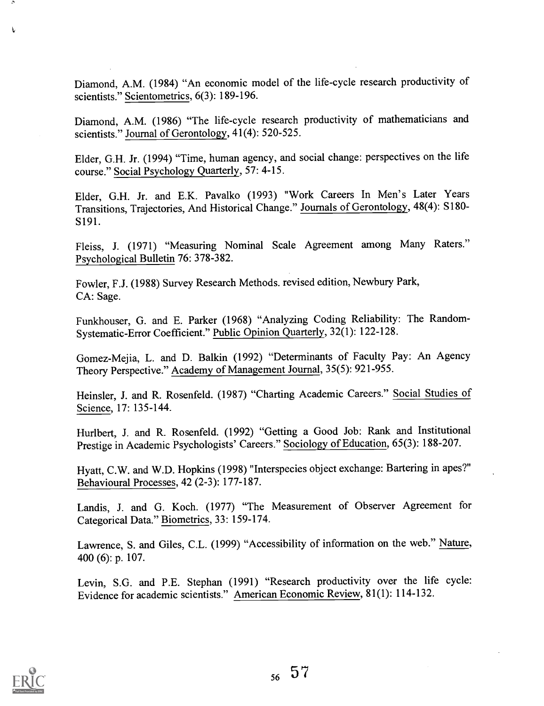Diamond, A.M. (1984) "An economic model of the life-cycle research productivity of scientists." Scientometrics, 6(3): 189-196.

Diamond, A.M. (1986) "The life-cycle research productivity of mathematicians and scientists." Journal of Gerontology, 41(4): 520-525.

Elder, G.H. Jr. (1994) "Time, human agency, and social change: perspectives on the life course." Social Psychology Quarterly, 57: 4-15.

Elder, G.H. Jr. and E.K. Pavalko (1993) "Work Careers In Men's Later Years Transitions, Trajectories, And Historical Change." Journals of Gerontology, 48(4): S180- S191.

Fleiss, J. (1971) "Measuring Nominal Scale Agreement among Many Raters." Psychological Bulletin 76: 378-382.

Fowler, F.J. (1988) Survey Research Methods. revised edition, Newbury Park, CA: Sage.

Funkhouser, G. and E. Parker (1968) "Analyzing Coding Reliability: The Random-Systematic-Error Coefficient." Public Opinion Quarterly, 32(1): 122-128.

Gomez-Mejia, L. and D. Balkin (1992) "Determinants of Faculty Pay: An Agency Theory Perspective." Academy of Management Journal, 35(5): 921-955.

Heinsler, J. and R. Rosenfeld. (1987) "Charting Academic Careers." Social Studies of Science, 17: 135-144.

Hurlbert, J. and R. Rosenfeld. (1992) "Getting a Good Job: Rank and Institutional Prestige in Academic Psychologists' Careers." Sociology of Education, 65(3): 188-207.

Hyatt, C.W. and W.D. Hopkins (1998) "Interspecies object exchange: Bartering in apes?" Behavioural Processes, 42 (2-3): 177-187.

Landis, J. and G. Koch. (1977) "The Measurement of Observer Agreement for Categorical Data." Biometrics, 33: 159-174.

Lawrence, S. and Giles, C.L. (1999) "Accessibility of information on the web." Nature, 400 (6): p. 107.

Levin, S.G. and P.E. Stephan (1991) "Research productivity over the life cycle: Evidence for academic scientists." American Economic Review, 81(1): 114-132.



Å.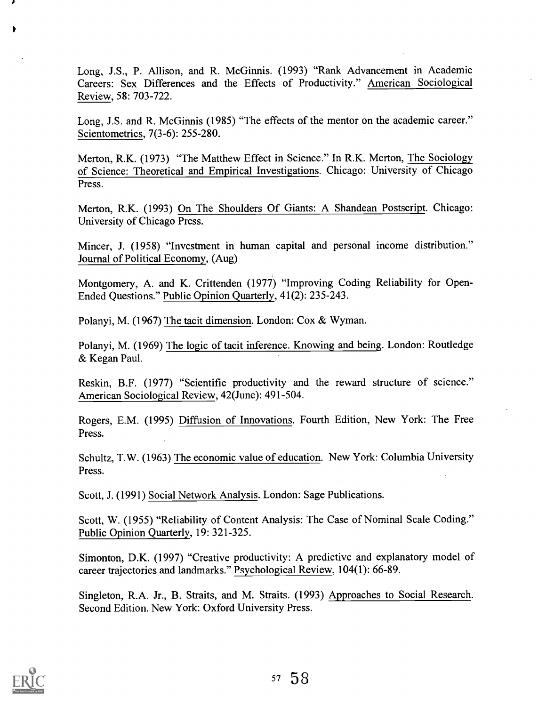Long, J.S., P. Allison, and R. McGinnis. (1993) "Rank Advancement in Academic Careers: Sex Differences and the Effects of Productivity." American Sociological Review, 58: 703-722.

Long, J.S. and R. McGinnis (1985) "The effects of the mentor on the academic career." Scientometrics, 7(3-6): 255-280.

Merton, R.K. (1973) "The Matthew Effect in Science." In R.K. Merton, The Sociology of Science: Theoretical and Empirical Investigations. Chicago: University of Chicago Press.

Merton, R.K. (1993) On The Shoulders Of Giants: A Shandean Postscript. Chicago: University of Chicago Press.

Mincer, J. (1958) "Investment in human capital and personal income distribution." Journal of Political Economy, (Aug)

Montgomery, A. and K. Crittenden (1977) "Improving Coding Reliability for Open-Ended Questions." Public Opinion Quarterly, 41(2): 235-243.

Polanyi, M. (1967) The tacit dimension. London: Cox & Wyman.

Polanyi, M. (1969) The logic of tacit inference. Knowing and being. London: Routledge & Kegan Paul.

Reskin, B.F. (1977) "Scientific productivity and the reward structure of science." American Sociological Review, 42(June): 491-504.

Rogers, E.M. (1995) Diffusion of Innovations. Fourth Edition, New York: The Free Press.

Schultz, T.W. (1963) The economic value of education. New York: Columbia University Press.

Scott, J. (1991) Social Network Analysis. London: Sage Publications.

Scott, W. (1955) "Reliability of Content Analysis: The Case of Nominal Scale Coding." Public Opinion Quarterly, 19: 321-325.

Simonton, D.K. (1997) "Creative productivity: A predictive and explanatory model of career trajectories and landmarks." Psychological Review, 104(1): 66-89.

Singleton, R.A. Jr., B. Straits, and M. Straits. (1993) Approaches to Social Research. Second Edition. New York: Oxford University Press.



**P** and the second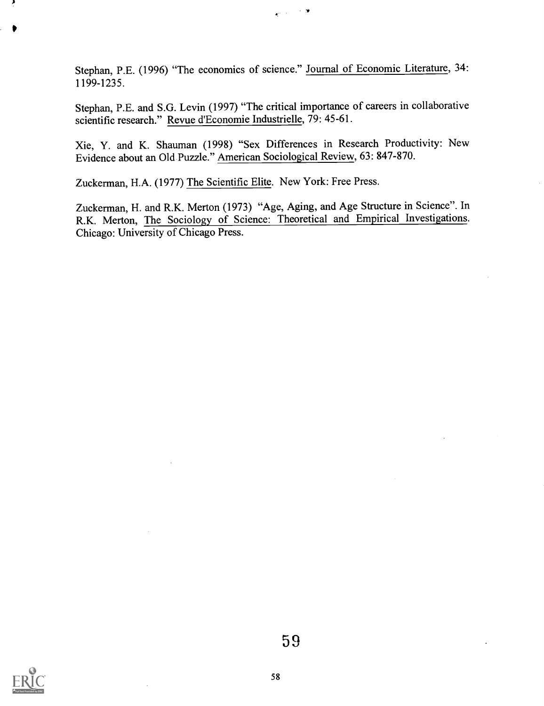Stephan, P.E. (1996) "The economics of science." Journal of Economic Literature, 34: 1199-1235.

 $\mathbf{p}(\mathbf{q}) = \mathbf{p}(\mathbf{q})$ 

Stephan, P.E. and S.G. Levin (1997) "The critical importance of careers in collaborative scientific research." Revue d'Economie Industrielle, 79: 45-61.

Xie, Y. and K. Shauman (1998) "Sex Differences in Research Productivity: New Evidence about an Old Puzzle." American Sociological Review, 63: 847-870.

Zuckerman, H.A. (1977) The Scientific Elite. New York: Free Press.

Zuckerman, H. and R.K. Merton (1973) "Age, Aging, and Age Structure in Science". In R.K. Merton, The Sociology of Science: Theoretical and Empirical Investigations. Chicago: University of Chicago Press.

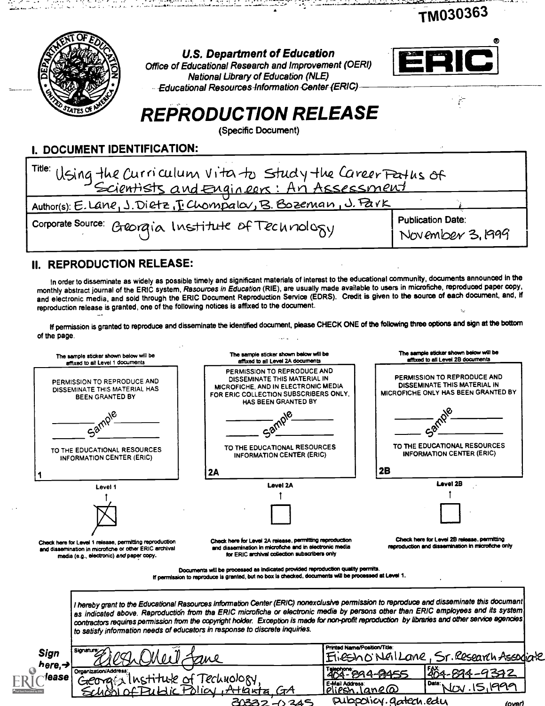TM030363



. . . .

فالأسطار والمراوي والرواد

 $\cdots$ 

#### U.S. Department of Education

2 "L:L. ,7"

Office of Educational Research and Improvement (OERI) National Library of Education (NLE) - Educational Resources-Information Center (ERIC)



É

# REPRODUCTION RELEASE

(Specific Document)

| <b>I. DOCUMENT IDENTIFICATION:</b>                             |                                              |
|----------------------------------------------------------------|----------------------------------------------|
| Title: Using the Curriculum vita to study the Career Patus of  |                                              |
| Author(s): E. Lane, J. Dietz, I. Chompala, B. Bozeman, J. Park |                                              |
| Corporate Source: Greorgia Institute of Technology             | <b>Publication Date:</b><br>November 3, 1999 |

### II. REPRODUCTION RELEASE:

In order to disseminate as widely as possible timely and significant materials of interest to the educational community, documents announced in the monthly abstract journal of the ERIC system, Resources in Education (RIE), are usually made available to users in microfiche, reproduced paper copy, and electronic media, and sold through the ERIC Document Reproduction Service (EDRS). Credit is given to the source of each document, and, if reproduction release is granted, one of the following notices is affixed to the document.

If permission is granted to reproduce and disseminate the identified document, please CHECK ONE of the following three options and sign at the bottom of the page. المعاد